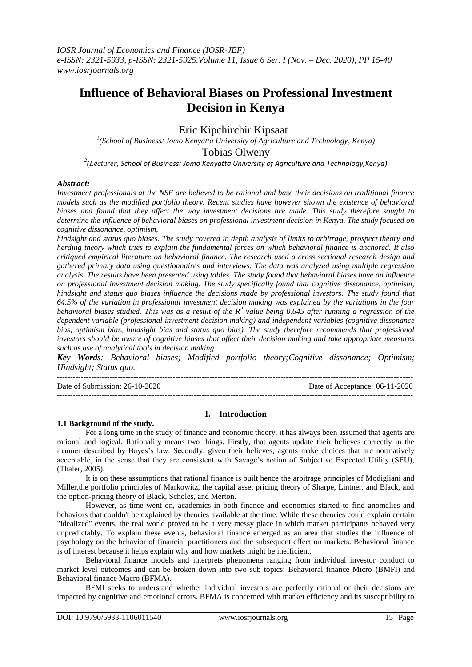# **Influence of Behavioral Biases on Professional Investment Decision in Kenya**

## Eric Kipchirchir Kipsaat

<sup>1</sup>(School of Business/ Jomo Kenyatta University of Agriculture and Technology, Kenya) Tobias Olweny *2 (Lecturer, School of Business/ Jomo Kenyatta University of Agriculture and Technology,Kenya)* 

## *Abstract:*

*Investment professionals at the NSE are believed to be rational and base their decisions on traditional finance models such as the modified portfolio theory. Recent studies have however shown the existence of behavioral biases and found that they affect the way investment decisions are made. This study therefore sought to determine the influence of behavioral biases on professional investment decision in Kenya. The study focused on cognitive dissonance, optimism,* 

*hindsight and status quo biases. The study covered in depth analysis of limits to arbitrage, prospect theory and herding theory which tries to explain the fundamental forces on which behavioral finance is anchored. It also critiqued empirical literature on behavioral finance. The research used a cross sectional research design and gathered primary data using questionnaires and interviews. The data was analyzed using multiple regression analysis. The results have been presented using tables. The study found that behavioral biases have an influence on professional investment decision making. The study specifically found that cognitive dissonance, optimism, hindsight and status quo biases influence the decisions made by professional investors. The study found that 64.5% of the variation in professional investment decision making was explained by the variations in the four behavioral biases studied. This was as a result of the R<sup>2</sup> value being 0.645 after running a regression of the dependent variable (professional investment decision making) and independent variables (cognitive dissonance bias, optimism bias, hindsight bias and status quo bias). The study therefore recommends that professional investors should be aware of cognitive biases that affect their decision making and take appropriate measures such as use of analytical tools in decision making.*

*Key Words: Behavioral biases; Modified portfolio theory;Cognitive dissonance; Optimism; Hindsight; Status quo.*

 $-1-\frac{1}{2}$ Date of Submission: 26-10-2020 Date of Acceptance: 06-11-2020 ---------------------------------------------------------------------------------------------------------------------------------------

## **I. Introduction**

#### **1.1 Background of the study.**

For a long time in the study of finance and economic theory, it has always been assumed that agents are rational and logical. Rationality means two things. Firstly, that agents update their believes correctly in the manner described by Bayes's law. Secondly, given their believes, agents make choices that are normatively acceptable, in the sense that they are consistent with Savage's notion of Subjective Expected Utility (SEU), (Thaler, 2005).

It is on these assumptions that rational finance is built hence the arbitrage principles of Modigliani and Miller,the portfolio principles of Markowitz, the capital asset pricing theory of Sharpe, Lintner, and Black, and the option-pricing theory of Black, Scholes, and Merton.

However, as time went on, academics in both finance and economics started to find anomalies and behaviors that couldn't be explained by theories available at the time. While these theories could explain certain "idealized" events, the real world proved to be a very messy place in which market participants behaved very unpredictably. To explain these events, behavioral finance emerged as an area that studies the influence of psychology on the behavior of financial practitioners and the subsequent effect on markets. Behavioral finance is of interest because it helps explain why and how markets might be inefficient.

Behavioral finance models and interprets phenomena ranging from individual investor conduct to market level outcomes and can be broken down into two sub topics: Behavioral finance Micro (BMFI) and Behavioral finance Macro (BFMA).

BFMI seeks to understand whether individual investors are perfectly rational or their decisions are impacted by cognitive and emotional errors. BFMA is concerned with market efficiency and its susceptibility to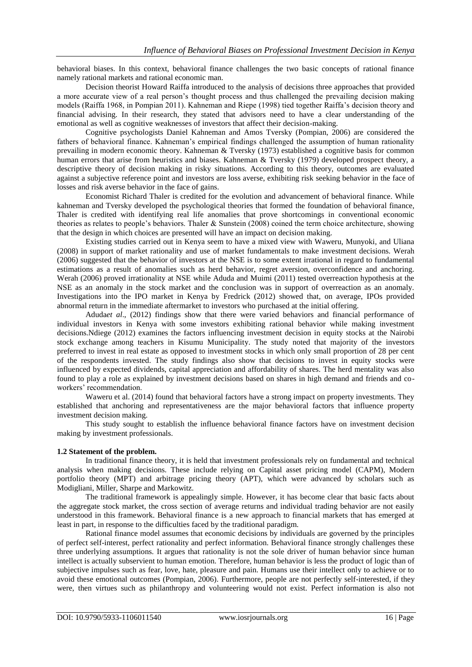behavioral biases. In this context, behavioral finance challenges the two basic concepts of rational finance namely rational markets and rational economic man.

Decision theorist Howard Raiffa introduced to the analysis of decisions three approaches that provided a more accurate view of a real person's thought process and thus challenged the prevailing decision making models (Raiffa 1968, in Pompian 2011). Kahneman and Riepe (1998) tied together Raiffa's decision theory and financial advising. In their research, they stated that advisors need to have a clear understanding of the emotional as well as cognitive weaknesses of investors that affect their decision-making.

Cognitive psychologists Daniel Kahneman and Amos Tversky (Pompian, 2006) are considered the fathers of behavioral finance. Kahneman's empirical findings challenged the assumption of human rationality prevailing in modern economic theory. Kahneman & Tversky (1973) established a cognitive basis for common human errors that arise from heuristics and biases. Kahneman & Tversky (1979) developed prospect theory, a descriptive theory of decision making in risky situations. According to this theory, outcomes are evaluated against a subjective reference point and investors are loss averse, exhibiting risk seeking behavior in the face of losses and risk averse behavior in the face of gains.

Economist Richard Thaler is credited for the evolution and advancement of behavioral finance. While kahneman and Tversky developed the psychological theories that formed the foundation of behavioral finance, Thaler is credited with identifying real life anomalies that prove shortcomings in conventional economic theories as relates to people's behaviors. Thaler & Sunstein (2008) coined the term choice architecture, showing that the design in which choices are presented will have an impact on decision making.

Existing studies carried out in Kenya seem to have a mixed view with Waweru, Munyoki, and Uliana (2008) in support of market rationality and use of market fundamentals to make investment decisions. Werah (2006) suggested that the behavior of investors at the NSE is to some extent irrational in regard to fundamental estimations as a result of anomalies such as herd behavior, regret aversion, overconfidence and anchoring. Werah (2006) proved irrationality at NSE while Aduda and Muimi (2011) tested overreaction hypothesis at the NSE as an anomaly in the stock market and the conclusion was in support of overreaction as an anomaly. Investigations into the IPO market in Kenya by Fredrick (2012) showed that, on average, IPOs provided abnormal return in the immediate aftermarket to investors who purchased at the initial offering.

Aduda*et al*., (2012) findings show that there were varied behaviors and financial performance of individual investors in Kenya with some investors exhibiting rational behavior while making investment decisions.Ndiege (2012) examines the factors influencing investment decision in equity stocks at the Nairobi stock exchange among teachers in Kisumu Municipality. The study noted that majority of the investors preferred to invest in real estate as opposed to investment stocks in which only small proportion of 28 per cent of the respondents invested. The study findings also show that decisions to invest in equity stocks were influenced by expected dividends, capital appreciation and affordability of shares. The herd mentality was also found to play a role as explained by investment decisions based on shares in high demand and friends and coworkers' recommendation.

Waweru et al. (2014) found that behavioral factors have a strong impact on property investments. They established that anchoring and representativeness are the major behavioral factors that influence property investment decision making.

This study sought to establish the influence behavioral finance factors have on investment decision making by investment professionals.

## **1.2 Statement of the problem.**

In traditional finance theory, it is held that investment professionals rely on fundamental and technical analysis when making decisions. These include relying on Capital asset pricing model (CAPM), Modern portfolio theory (MPT) and arbitrage pricing theory (APT), which were advanced by scholars such as Modigliani, Miller, Sharpe and Markowitz.

The traditional framework is appealingly simple. However, it has become clear that basic facts about the aggregate stock market, the cross section of average returns and individual trading behavior are not easily understood in this framework. Behavioral finance is a new approach to financial markets that has emerged at least in part, in response to the difficulties faced by the traditional paradigm.

Rational finance model assumes that economic decisions by individuals are governed by the principles of perfect self-interest, perfect rationality and perfect information. Behavioral finance strongly challenges these three underlying assumptions. It argues that rationality is not the sole driver of human behavior since human intellect is actually subservient to human emotion. Therefore, human behavior is less the product of logic than of subjective impulses such as fear, love, hate, pleasure and pain. Humans use their intellect only to achieve or to avoid these emotional outcomes (Pompian, 2006). Furthermore, people are not perfectly self-interested, if they were, then virtues such as philanthropy and volunteering would not exist. Perfect information is also not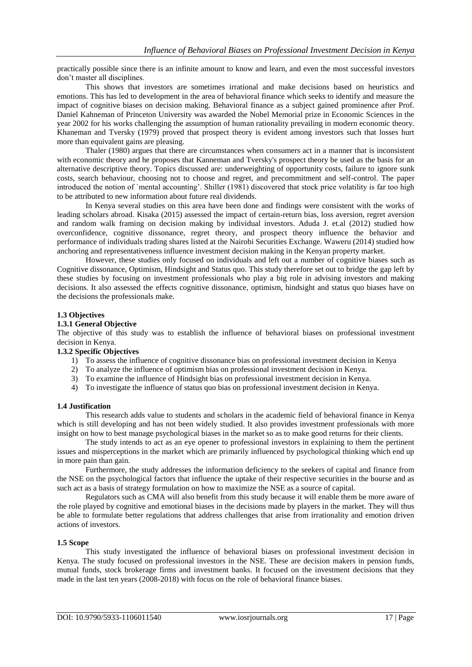practically possible since there is an infinite amount to know and learn, and even the most successful investors don't master all disciplines.

This shows that investors are sometimes irrational and make decisions based on heuristics and emotions. This has led to development in the area of behavioral finance which seeks to identify and measure the impact of cognitive biases on decision making. Behavioral finance as a subject gained prominence after Prof. Daniel Kahneman of Princeton University was awarded the Nobel Memorial prize in Economic Sciences in the year 2002 for his works challenging the assumption of human rationality prevailing in modern economic theory. Khaneman and Tversky (1979) proved that prospect theory is evident among investors such that losses hurt more than equivalent gains are pleasing.

Thaler (1980) argues that there are circumstances when consumers act in a manner that is inconsistent with economic theory and he proposes that Kanneman and Tversky's prospect theory be used as the basis for an alternative descriptive theory. Topics discussed are: underweighting of opportunity costs, failure to ignore sunk costs, search behaviour, choosing not to choose and regret, and precommitment and self-control. The paper introduced the notion of `mental accounting'. Shiller (1981) discovered that stock price volatility is far too high to be attributed to new information about future real dividends.

In Kenya several studies on this area have been done and findings were consistent with the works of leading scholars abroad. Kisaka (2015) assessed the impact of certain-return bias, loss aversion, regret aversion and random walk framing on decision making by individual investors. Aduda J. et.al (2012) studied how overconfidence, cognitive dissonance, regret theory, and prospect theory influence the behavior and performance of individuals trading shares listed at the Nairobi Securities Exchange. Waweru (2014) studied how anchoring and representativeness influence investment decision making in the Kenyan property market.

However, these studies only focused on individuals and left out a number of cognitive biases such as Cognitive dissonance, Optimism, Hindsight and Status quo. This study therefore set out to bridge the gap left by these studies by focusing on investment professionals who play a big role in advising investors and making decisions. It also assessed the effects cognitive dissonance, optimism, hindsight and status quo biases have on the decisions the professionals make.

#### **1.3 Objectives**

### **1.3.1 General Objective**

The objective of this study was to establish the influence of behavioral biases on professional investment decision in Kenya.

#### **1.3.2 Specific Objectives**

- 1) To assess the influence of cognitive dissonance bias on professional investment decision in Kenya
- 2) To analyze the influence of optimism bias on professional investment decision in Kenya.
- 3) To examine the influence of Hindsight bias on professional investment decision in Kenya.
- 4) To investigate the influence of status quo bias on professional investment decision in Kenya.

#### **1.4 Justification**

This research adds value to students and scholars in the academic field of behavioral finance in Kenya which is still developing and has not been widely studied. It also provides investment professionals with more insight on how to best manage psychological biases in the market so as to make good returns for their clients.

The study intends to act as an eye opener to professional investors in explaining to them the pertinent issues and misperceptions in the market which are primarily influenced by psychological thinking which end up in more pain than gain.

Furthermore, the study addresses the information deficiency to the seekers of capital and finance from the NSE on the psychological factors that influence the uptake of their respective securities in the bourse and as such act as a basis of strategy formulation on how to maximize the NSE as a source of capital.

Regulators such as CMA will also benefit from this study because it will enable them be more aware of the role played by cognitive and emotional biases in the decisions made by players in the market. They will thus be able to formulate better regulations that address challenges that arise from irrationality and emotion driven actions of investors.

## **1.5 Scope**

This study investigated the influence of behavioral biases on professional investment decision in Kenya. The study focused on professional investors in the NSE. These are decision makers in pension funds, mutual funds, stock brokerage firms and investment banks. It focused on the investment decisions that they made in the last ten years (2008-2018) with focus on the role of behavioral finance biases.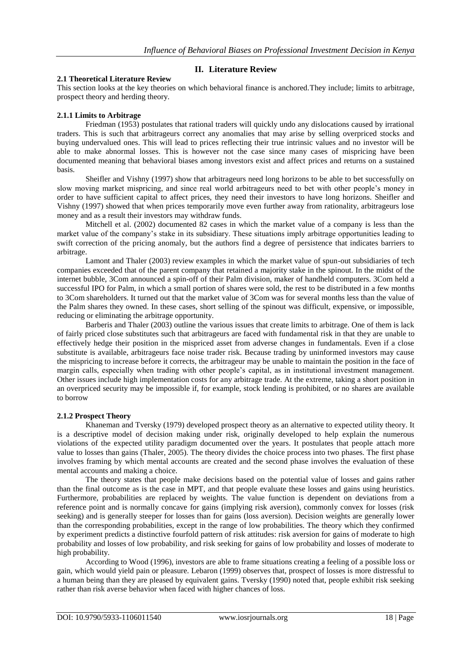## **II. Literature Review**

#### **2.1 Theoretical Literature Review**

This section looks at the key theories on which behavioral finance is anchored.They include; limits to arbitrage, prospect theory and herding theory.

## **2.1.1 Limits to Arbitrage**

Friedman (1953) postulates that rational traders will quickly undo any dislocations caused by irrational traders. This is such that arbitrageurs correct any anomalies that may arise by selling overpriced stocks and buying undervalued ones. This will lead to prices reflecting their true intrinsic values and no investor will be able to make abnormal losses. This is however not the case since many cases of mispricing have been documented meaning that behavioral biases among investors exist and affect prices and returns on a sustained basis.

Sheifler and Vishny (1997) show that arbitrageurs need long horizons to be able to bet successfully on slow moving market mispricing, and since real world arbitrageurs need to bet with other people's money in order to have sufficient capital to affect prices, they need their investors to have long horizons. Sheifler and Vishny (1997) showed that when prices temporarily move even further away from rationality, arbitrageurs lose money and as a result their investors may withdraw funds.

Mitchell et al. (2002) documented 82 cases in which the market value of a company is less than the market value of the company's stake in its subsidiary. These situations imply arbitrage opportunities leading to swift correction of the pricing anomaly, but the authors find a degree of persistence that indicates barriers to arbitrage.

Lamont and Thaler (2003) review examples in which the market value of spun-out subsidiaries of tech companies exceeded that of the parent company that retained a majority stake in the spinout. In the midst of the internet bubble, 3Com announced a spin-off of their Palm division, maker of handheld computers. 3Com held a successful IPO for Palm, in which a small portion of shares were sold, the rest to be distributed in a few months to 3Com shareholders. It turned out that the market value of 3Com was for several months less than the value of the Palm shares they owned. In these cases, short selling of the spinout was difficult, expensive, or impossible, reducing or eliminating the arbitrage opportunity.

Barberis and Thaler (2003) outline the various issues that create limits to arbitrage. One of them is lack of fairly priced close substitutes such that arbitrageurs are faced with fundamental risk in that they are unable to effectively hedge their position in the mispriced asset from adverse changes in fundamentals. Even if a close substitute is available, arbitrageurs face noise trader risk. Because trading by uninformed investors may cause the mispricing to increase before it corrects, the arbitrageur may be unable to maintain the position in the face of margin calls, especially when trading with other people's capital, as in institutional investment management. Other issues include high implementation costs for any arbitrage trade. At the extreme, taking a short position in an overpriced security may be impossible if, for example, stock lending is prohibited, or no shares are available to borrow

#### **2.1.2 Prospect Theory**

Khaneman and Tversky (1979) developed prospect theory as an alternative to expected utility theory. It is a descriptive model of decision making under risk, originally developed to help explain the numerous violations of the expected utility paradigm documented over the years. It postulates that people attach more value to losses than gains (Thaler, 2005). The theory divides the choice process into two phases. The first phase involves framing by which mental accounts are created and the second phase involves the evaluation of these mental accounts and making a choice.

The theory states that people make decisions based on the potential value of losses and gains rather than the final outcome as is the case in MPT, and that people evaluate these losses and gains using heuristics. Furthermore, probabilities are replaced by weights. The value function is dependent on deviations from a reference point and is normally concave for gains (implying risk aversion), commonly convex for losses (risk seeking) and is generally steeper for losses than for gains (loss aversion). Decision weights are generally lower than the corresponding probabilities, except in the range of low probabilities. The theory which they confirmed by experiment predicts a distinctive fourfold pattern of risk attitudes: risk aversion for gains of moderate to high probability and losses of low probability, and risk seeking for gains of low probability and losses of moderate to high probability.

According to Wood (1996), investors are able to frame situations creating a feeling of a possible loss or gain, which would yield pain or pleasure. Lebaron (1999) observes that, prospect of losses is more distressful to a human being than they are pleased by equivalent gains. Tversky (1990) noted that, people exhibit risk seeking rather than risk averse behavior when faced with higher chances of loss.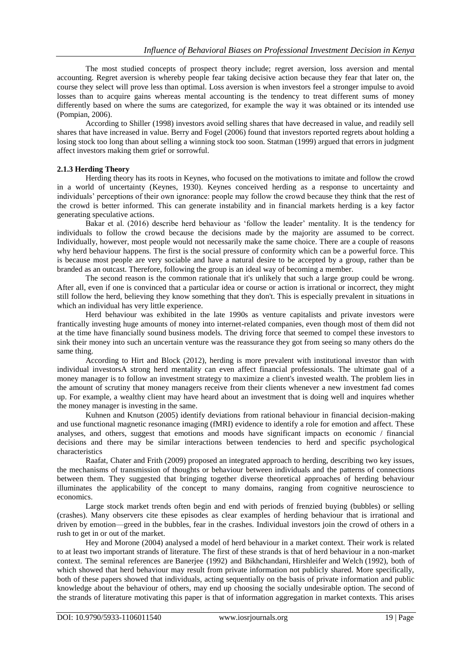The most studied concepts of prospect theory include; regret aversion, loss aversion and mental accounting. Regret aversion is whereby people fear taking decisive action because they fear that later on, the course they select will prove less than optimal. Loss aversion is when investors feel a stronger impulse to avoid losses than to acquire gains whereas mental accounting is the tendency to treat different sums of money differently based on where the sums are categorized, for example the way it was obtained or its intended use (Pompian, 2006).

According to Shiller (1998) investors avoid selling shares that have decreased in value, and readily sell shares that have increased in value. Berry and Fogel (2006) found that investors reported regrets about holding a losing stock too long than about selling a winning stock too soon. Statman (1999) argued that errors in judgment affect investors making them grief or sorrowful.

## **2.1.3 Herding Theory**

Herding theory has its roots in Keynes, who focused on the motivations to imitate and follow the crowd in a world of uncertainty (Keynes, 1930). Keynes conceived herding as a response to uncertainty and individuals' perceptions of their own ignorance: people may follow the crowd because they think that the rest of the crowd is better informed. This can generate instability and in financial markets herding is a key factor generating speculative actions.

Bakar et al. (2016) describe herd behaviour as 'follow the leader' mentality. It is the tendency for individuals to follow the crowd because the decisions made by the majority are assumed to be correct. Individually, however, most people would not necessarily make the same choice. There are a couple of reasons why herd behaviour happens. The first is the social pressure of conformity which can be a powerful force. This is because most people are very sociable and have a natural desire to be accepted by a group, rather than be branded as an outcast. Therefore, following the group is an ideal way of becoming a member.

The second reason is the common rationale that it's unlikely that such a large group could be wrong. After all, even if one is convinced that a particular idea or course or action is irrational or incorrect, they might still follow the herd, believing they know something that they don't. This is especially prevalent in situations in which an individual has very little experience.

Herd behaviour was exhibited in the late 1990s as venture capitalists and private investors were frantically investing huge amounts of money into internet-related companies, even though most of them did not at the time have financially sound business models. The driving force that seemed to compel these investors to sink their money into such an uncertain venture was the reassurance they got from seeing so many others do the same thing.

According to Hirt and Block (2012), herding is more prevalent with institutional investor than with individual investorsA strong herd mentality can even affect financial professionals. The ultimate goal of a money manager is to follow an investment strategy to maximize a client's invested wealth. The problem lies in the amount of scrutiny that money managers receive from their clients whenever a new investment fad comes up. For example, a wealthy client may have heard about an investment that is doing well and inquires whether the money manager is investing in the same.

Kuhnen and Knutson (2005) identify deviations from rational behaviour in financial decision-making and use functional magnetic resonance imaging (fMRI) evidence to identify a role for emotion and affect. These analyses, and others, suggest that emotions and moods have significant impacts on economic / financial decisions and there may be similar interactions between tendencies to herd and specific psychological characteristics

Raafat, Chater and Frith (2009) proposed an integrated approach to herding, describing two key issues, the mechanisms of transmission of thoughts or behaviour between individuals and the patterns of connections between them. They suggested that bringing together diverse theoretical approaches of herding behaviour illuminates the applicability of the concept to many domains, ranging from cognitive neuroscience to economics.

Large stock market trends often begin and end with periods of frenzied buying (bubbles) or selling (crashes). Many observers cite these episodes as clear examples of herding behaviour that is irrational and driven by emotion—greed in the bubbles, fear in the crashes. Individual investors join the crowd of others in a rush to get in or out of the market.

Hey and Morone (2004) analysed a model of herd behaviour in a market context. Their work is related to at least two important strands of literature. The first of these strands is that of herd behaviour in a non-market context. The seminal references are Banerjee (1992) and Bikhchandani, Hirshleifer and Welch (1992), both of which showed that herd behaviour may result from private information not publicly shared. More specifically, both of these papers showed that individuals, acting sequentially on the basis of private information and public knowledge about the behaviour of others, may end up choosing the socially undesirable option. The second of the strands of literature motivating this paper is that of information aggregation in market contexts. This arises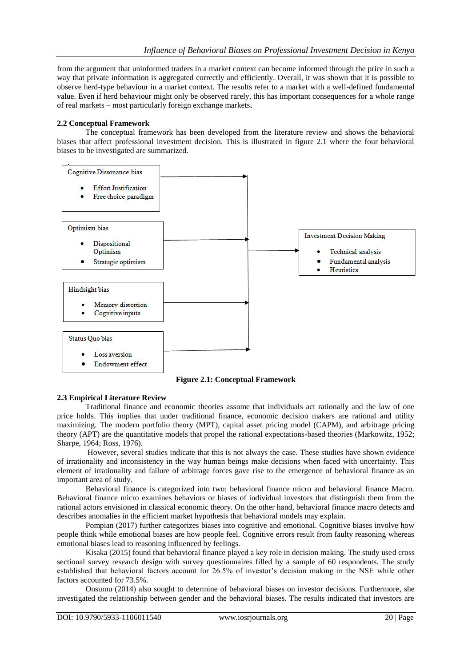from the argument that uninformed traders in a market context can become informed through the price in such a way that private information is aggregated correctly and efficiently. Overall, it was shown that it is possible to observe herd-type behaviour in a market context. The results refer to a market with a well-defined fundamental value. Even if herd behaviour might only be observed rarely, this has important consequences for a whole range of real markets – most particularly foreign exchange markets**.**

## **2.2 Conceptual Framework**

The conceptual framework has been developed from the literature review and shows the behavioral biases that affect professional investment decision. This is illustrated in figure 2.1 where the four behavioral biases to be investigated are summarized.



**Figure 2.1: Conceptual Framework**

#### **2.3 Empirical Literature Review**

Traditional finance and economic theories assume that individuals act rationally and the law of one price holds. This implies that under traditional finance, economic decision makers are rational and utility maximizing. The modern portfolio theory (MPT), capital asset pricing model (CAPM), and arbitrage pricing theory (APT) are the quantitative models that propel the rational expectations-based theories (Markowitz, 1952; Sharpe, 1964; Ross, 1976).

However, several studies indicate that this is not always the case. These studies have shown evidence of irrationality and inconsistency in the way human beings make decisions when faced with uncertainty. This element of irrationality and failure of arbitrage forces gave rise to the emergence of behavioral finance as an important area of study.

Behavioral finance is categorized into two; behavioral finance micro and behavioral finance Macro. Behavioral finance micro examines behaviors or biases of individual investors that distinguish them from the rational actors envisioned in classical economic theory. On the other hand, behavioral finance macro detects and describes anomalies in the efficient market hypothesis that behavioral models may explain.

Pompian (2017) further categorizes biases into cognitive and emotional. Cognitive biases involve how people think while emotional biases are how people feel. Cognitive errors result from faulty reasoning whereas emotional biases lead to reasoning influenced by feelings.

Kisaka (2015) found that behavioral finance played a key role in decision making. The study used cross sectional survey research design with survey questionnaires filled by a sample of 60 respondents. The study established that behavioral factors account for 26.5% of investor's decision making in the NSE while other factors accounted for 73.5%.

Onsumu (2014) also sought to determine of behavioral biases on investor decisions. Furthermore, she investigated the relationship between gender and the behavioral biases. The results indicated that investors are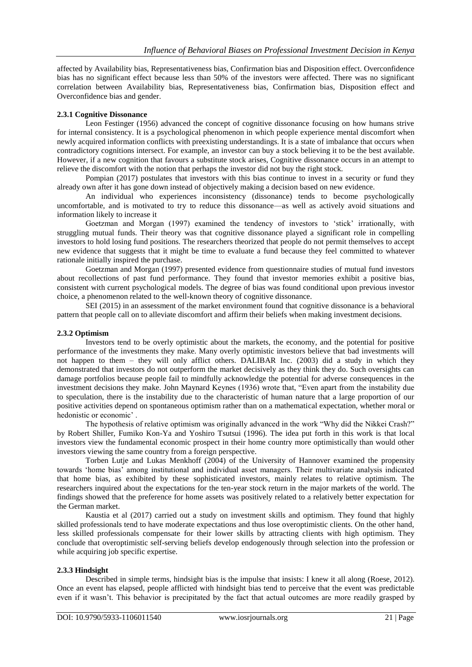affected by Availability bias, Representativeness bias, Confirmation bias and Disposition effect. Overconfidence bias has no significant effect because less than 50% of the investors were affected. There was no significant correlation between Availability bias, Representativeness bias, Confirmation bias, Disposition effect and Overconfidence bias and gender.

## **2.3.1 Cognitive Dissonance**

Leon Festinger (1956) advanced the concept of cognitive dissonance focusing on how humans strive for internal consistency. It is a psychological phenomenon in which people experience mental discomfort when newly acquired information conflicts with preexisting understandings. It is a state of imbalance that occurs when contradictory cognitions intersect. For example, an investor can buy a stock believing it to be the best available. However, if a new cognition that favours a substitute stock arises, Cognitive dissonance occurs in an attempt to relieve the discomfort with the notion that perhaps the investor did not buy the right stock.

Pompian (2017) postulates that investors with this bias continue to invest in a security or fund they already own after it has gone down instead of objectively making a decision based on new evidence.

An individual who experiences inconsistency (dissonance) tends to become psychologically uncomfortable, and is motivated to try to reduce this dissonance—as well as actively avoid situations and information likely to increase it

Goetzman and Morgan (1997) examined the tendency of investors to 'stick' irrationally, with struggling mutual funds. Their theory was that cognitive dissonance played a significant role in compelling investors to hold losing fund positions. The researchers theorized that people do not permit themselves to accept new evidence that suggests that it might be time to evaluate a fund because they feel committed to whatever rationale initially inspired the purchase.

Goetzman and Morgan (1997) presented evidence from questionnaire studies of mutual fund investors about recollections of past fund performance. They found that investor memories exhibit a positive bias, consistent with current psychological models. The degree of bias was found conditional upon previous investor choice, a phenomenon related to the well-known theory of cognitive dissonance.

SEI (2015) in an assessment of the market environment found that cognitive dissonance is a behavioral pattern that people call on to alleviate discomfort and affirm their beliefs when making investment decisions.

#### **2.3.2 Optimism**

Investors tend to be overly optimistic about the markets, the economy, and the potential for positive performance of the investments they make. Many overly optimistic investors believe that bad investments will not happen to them – they will only afflict others. DALIBAR Inc. (2003) did a study in which they demonstrated that investors do not outperform the market decisively as they think they do. Such oversights can damage portfolios because people fail to mindfully acknowledge the potential for adverse consequences in the investment decisions they make. John Maynard Keynes (1936) wrote that, "Even apart from the instability due to speculation, there is the instability due to the characteristic of human nature that a large proportion of our positive activities depend on spontaneous optimism rather than on a mathematical expectation, whether moral or hedonistic or economic' .

The hypothesis of relative optimism was originally advanced in the work "Why did the Nikkei Crash?" by Robert Shiller, Fumiko Kon-Ya and Yoshiro Tsutsui (1996). The idea put forth in this work is that local investors view the fundamental economic prospect in their home country more optimistically than would other investors viewing the same country from a foreign perspective.

Torben Lutje and Lukas Menkhoff (2004) of the University of Hannover examined the propensity towards ‗home bias' among institutional and individual asset managers. Their multivariate analysis indicated that home bias, as exhibited by these sophisticated investors, mainly relates to relative optimism. The researchers inquired about the expectations for the ten-year stock return in the major markets of the world. The findings showed that the preference for home assets was positively related to a relatively better expectation for the German market.

Kaustia et al (2017) carried out a study on investment skills and optimism. They found that highly skilled professionals tend to have moderate expectations and thus lose overoptimistic clients. On the other hand, less skilled professionals compensate for their lower skills by attracting clients with high optimism. They conclude that overoptimistic self-serving beliefs develop endogenously through selection into the profession or while acquiring job specific expertise.

#### **2.3.3 Hindsight**

Described in simple terms, hindsight bias is the impulse that insists: I knew it all along (Roese, 2012). Once an event has elapsed, people afflicted with hindsight bias tend to perceive that the event was predictable even if it wasn't. This behavior is precipitated by the fact that actual outcomes are more readily grasped by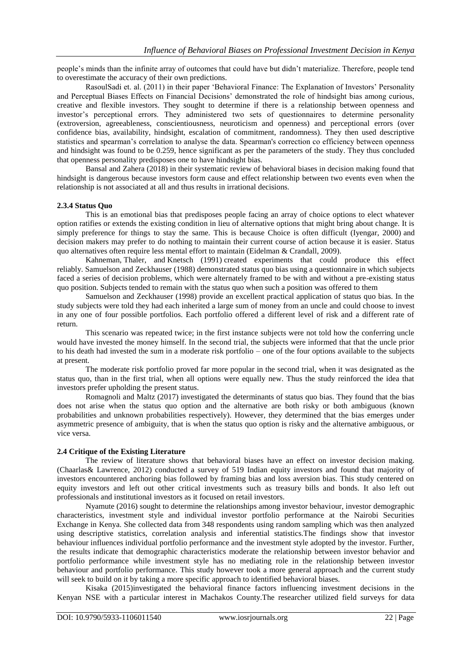people's minds than the infinite array of outcomes that could have but didn't materialize. Therefore, people tend to overestimate the accuracy of their own predictions.

RasoulSadi et. al. (2011) in their paper ‗Behavioral Finance: The Explanation of Investors' Personality and Perceptual Biases Effects on Financial Decisions' demonstrated the role of hindsight bias among curious, creative and flexible investors. They sought to determine if there is a relationship between openness and investor's perceptional errors. They administered two sets of questionnaires to determine personality (extroversion, agreeableness, conscientiousness, neuroticism and openness) and perceptional errors (over confidence bias, availability, hindsight, escalation of commitment, randomness). They then used descriptive statistics and spearman's correlation to analyse the data. Spearman's correction co efficiency between openness and hindsight was found to be 0.259, hence significant as per the parameters of the study. They thus concluded that openness personality predisposes one to have hindsight bias.

Bansal and Zahera (2018) in their systematic review of behavioral biases in decision making found that hindsight is dangerous because investors form cause and effect relationship between two events even when the relationship is not associated at all and thus results in irrational decisions.

#### **2.3.4 Status Quo**

This is an emotional bias that predisposes people facing an array of choice options to elect whatever option ratifies or extends the existing condition in lieu of alternative options that might bring about change. It is simply preference for things to stay the same. This is because Choice is often difficult (Iyengar, 2000) and decision makers may prefer to do nothing to maintain their current course of action because it is easier. Status quo alternatives often require less mental effort to maintain (Eidelman & Crandall, 2009).

Kahneman, Thaler, and Knetsch (1991) created experiments that could produce this effect reliably. Samuelson and Zeckhauser (1988) demonstrated status quo bias using a questionnaire in which subjects faced a series of decision problems, which were alternately framed to be with and without a pre-existing status quo position. Subjects tended to remain with the status quo when such a position was offered to them

Samuelson and Zeckhauser (1998) provide an excellent practical application of status quo bias. In the study subjects were told they had each inherited a large sum of money from an uncle and could choose to invest in any one of four possible portfolios. Each portfolio offered a different level of risk and a different rate of return.

This scenario was repeated twice; in the first instance subjects were not told how the conferring uncle would have invested the money himself. In the second trial, the subjects were informed that that the uncle prior to his death had invested the sum in a moderate risk portfolio – one of the four options available to the subjects at present.

The moderate risk portfolio proved far more popular in the second trial, when it was designated as the status quo, than in the first trial, when all options were equally new. Thus the study reinforced the idea that investors prefer upholding the present status.

Romagnoli and Maltz (2017) investigated the determinants of status quo bias. They found that the bias does not arise when the status quo option and the alternative are both risky or both ambiguous (known probabilities and unknown probabilities respectively). However, they determined that the bias emerges under asymmetric presence of ambiguity, that is when the status quo option is risky and the alternative ambiguous, or vice versa.

#### **2.4 Critique of the Existing Literature**

The review of literature shows that behavioral biases have an effect on investor decision making. (Chaarlas& Lawrence, 2012) conducted a survey of 519 Indian equity investors and found that majority of investors encountered anchoring bias followed by framing bias and loss aversion bias. This study centered on equity investors and left out other critical investments such as treasury bills and bonds. It also left out professionals and institutional investors as it focused on retail investors.

Nyamute (2016) sought to determine the relationships among investor behaviour, investor demographic characteristics, investment style and individual investor portfolio performance at the Nairobi Securities Exchange in Kenya. She collected data from 348 respondents using random sampling which was then analyzed using descriptive statistics, correlation analysis and inferential statistics.The findings show that investor behaviour influences individual portfolio performance and the investment style adopted by the investor. Further, the results indicate that demographic characteristics moderate the relationship between investor behavior and portfolio performance while investment style has no mediating role in the relationship between investor behaviour and portfolio performance. This study however took a more general approach and the current study will seek to build on it by taking a more specific approach to identified behavioral biases.

Kisaka (2015)investigated the behavioral finance factors influencing investment decisions in the Kenyan NSE with a particular interest in Machakos County.The researcher utilized field surveys for data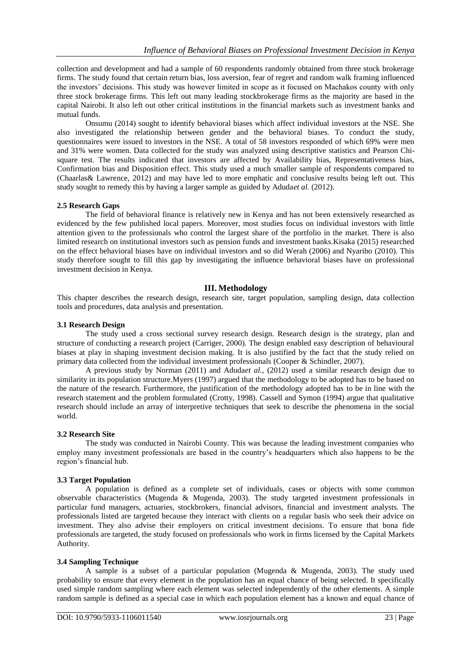collection and development and had a sample of 60 respondents randomly obtained from three stock brokerage firms. The study found that certain return bias, loss aversion, fear of regret and random walk framing influenced the investors' decisions. This study was however limited in scope as it focused on Machakos county with only three stock brokerage firms. This left out many leading stockbrokerage firms as the majority are based in the capital Nairobi. It also left out other critical institutions in the financial markets such as investment banks and mutual funds.

Onsumu (2014) sought to identify behavioral biases which affect individual investors at the NSE. She also investigated the relationship between gender and the behavioral biases. To conduct the study, questionnaires were issued to investors in the NSE. A total of 58 investors responded of which 69% were men and 31% were women. Data collected for the study was analyzed using descriptive statistics and Pearson Chisquare test. The results indicated that investors are affected by Availability bias, Representativeness bias, Confirmation bias and Disposition effect. This study used a much smaller sample of respondents compared to (Chaarlas& Lawrence, 2012) and may have led to more emphatic and conclusive results being left out. This study sought to remedy this by having a larger sample as guided by Aduda*et al.* (2012).

#### **2.5 Research Gaps**

The field of behavioral finance is relatively new in Kenya and has not been extensively researched as evidenced by the few published local papers. Moreover, most studies focus on individual investors with little attention given to the professionals who control the largest share of the portfolio in the market. There is also limited research on institutional investors such as pension funds and investment banks.Kisaka (2015) researched on the effect behavioral biases have on individual investors and so did Werah (2006) and Nyaribo (2010). This study therefore sought to fill this gap by investigating the influence behavioral biases have on professional investment decision in Kenya.

#### **III. Methodology**

This chapter describes the research design, research site, target population, sampling design, data collection tools and procedures, data analysis and presentation.

#### **3.1 Research Design**

The study used a cross sectional survey research design. Research design is the strategy, plan and structure of conducting a research project (Carriger, 2000). The design enabled easy description of behavioural biases at play in shaping investment decision making. It is also justified by the fact that the study relied on primary data collected from the individual investment professionals (Cooper & Schindler, 2007).

A previous study by Norman (2011) and Aduda*et al.,* (2012) used a similar research design due to similarity in its population structure.Myers (1997) argued that the methodology to be adopted has to be based on the nature of the research. Furthermore, the justification of the methodology adopted has to be in line with the research statement and the problem formulated (Crotty, 1998). Cassell and Symon (1994) argue that qualitative research should include an array of interpretive techniques that seek to describe the phenomena in the social world.

#### **3.2 Research Site**

The study was conducted in Nairobi County. This was because the leading investment companies who employ many investment professionals are based in the country's headquarters which also happens to be the region's financial hub.

#### **3.3 Target Population**

A population is defined as a complete set of individuals, cases or objects with some common observable characteristics (Mugenda & Mugenda, 2003). The study targeted investment professionals in particular fund managers, actuaries, stockbrokers, financial advisors, financial and investment analysts. The professionals listed are targeted because they interact with clients on a regular basis who seek their advice on investment. They also advise their employers on critical investment decisions. To ensure that bona fide professionals are targeted, the study focused on professionals who work in firms licensed by the Capital Markets Authority.

#### **3.4 Sampling Technique**

A sample is a subset of a particular population (Mugenda & Mugenda, 2003). The study used probability to ensure that every element in the population has an equal chance of being selected. It specifically used simple random sampling where each element was selected independently of the other elements. A simple random sample is defined as a special case in which each population element has a known and equal chance of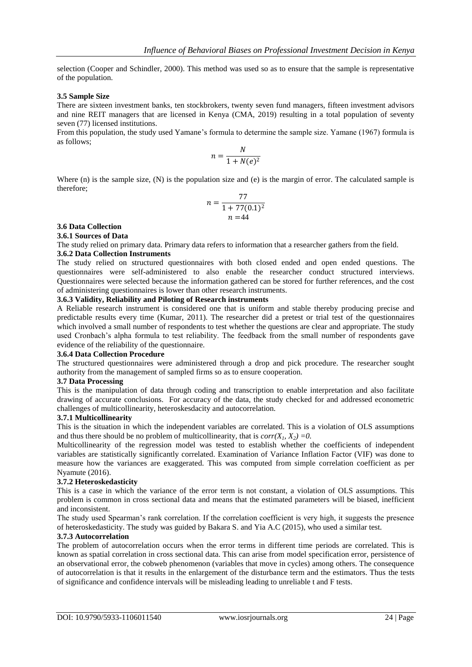selection (Cooper and Schindler, 2000). This method was used so as to ensure that the sample is representative of the population.

#### **3.5 Sample Size**

There are sixteen investment banks, ten stockbrokers, twenty seven fund managers, fifteen investment advisors and nine REIT managers that are licensed in Kenya (CMA, 2019) resulting in a total population of seventy seven (77) licensed institutions.

From this population, the study used Yamane's formula to determine the sample size. Yamane (1967) formula is as follows;

$$
n = \frac{N}{1 + N(e)^2}
$$

Where (n) is the sample size, (N) is the population size and (e) is the margin of error. The calculated sample is therefore;

$$
n = \frac{77}{1 + 77(0.1)^2}
$$
  

$$
n = 44
$$

## **3.6 Data Collection**

#### **3.6.1 Sources of Data**

The study relied on primary data. Primary data refers to information that a researcher gathers from the field.

#### **3.6.2 Data Collection Instruments**

The study relied on structured questionnaires with both closed ended and open ended questions. The questionnaires were self-administered to also enable the researcher conduct structured interviews. Questionnaires were selected because the information gathered can be stored for further references, and the cost of administering questionnaires is lower than other research instruments.

## **3.6.3 Validity, Reliability and Piloting of Research instruments**

A Reliable research instrument is considered one that is uniform and stable thereby producing precise and predictable results every time (Kumar, 2011). The researcher did a pretest or trial test of the questionnaires which involved a small number of respondents to test whether the questions are clear and appropriate. The study used Cronbach's alpha formula to test reliability. The feedback from the small number of respondents gave evidence of the reliability of the questionnaire.

#### **3.6.4 Data Collection Procedure**

The structured questionnaires were administered through a drop and pick procedure. The researcher sought authority from the management of sampled firms so as to ensure cooperation.

#### **3.7 Data Processing**

This is the manipulation of data through coding and transcription to enable interpretation and also facilitate drawing of accurate conclusions. For accuracy of the data, the study checked for and addressed econometric challenges of multicollinearity, heteroskesdacity and autocorrelation.

#### **3.7.1 Multicollinearity**

This is the situation in which the independent variables are correlated. This is a violation of OLS assumptions and thus there should be no problem of multicollinearity, that is  $corr(X_1, X_2) = 0$ .

Multicollinearity of the regression model was tested to establish whether the coefficients of independent variables are statistically significantly correlated. Examination of Variance Inflation Factor (VIF) was done to measure how the variances are exaggerated. This was computed from simple correlation coefficient as per Nyamute (2016).

#### **3.7.2 Heteroskedasticity**

This is a case in which the variance of the error term is not constant, a violation of OLS assumptions. This problem is common in cross sectional data and means that the estimated parameters will be biased, inefficient and inconsistent.

The study used Spearman's rank correlation. If the correlation coefficient is very high, it suggests the presence of heteroskedasticity. The study was guided by Bakara S. and Yia A.C (2015), who used a similar test.

#### **3.7.3 Autocorrelation**

The problem of autocorrelation occurs when the error terms in different time periods are correlated. This is known as spatial correlation in cross sectional data. This can arise from model specification error, persistence of an observational error, the cobweb phenomenon (variables that move in cycles) among others. The consequence of autocorrelation is that it results in the enlargement of the disturbance term and the estimators. Thus the tests of significance and confidence intervals will be misleading leading to unreliable t and F tests.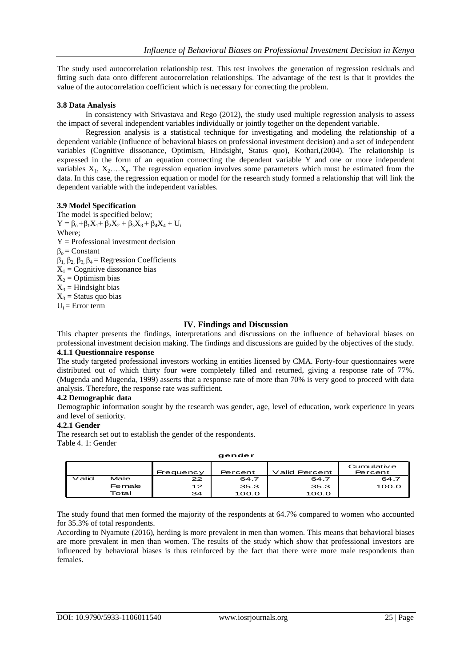The study used autocorrelation relationship test. This test involves the generation of regression residuals and fitting such data onto different autocorrelation relationships. The advantage of the test is that it provides the value of the autocorrelation coefficient which is necessary for correcting the problem.

## **3.8 Data Analysis**

In consistency with Srivastava and Rego (2012), the study used multiple regression analysis to assess the impact of several independent variables individually or jointly together on the dependent variable.

Regression analysis is a statistical technique for investigating and modeling the relationship of a dependent variable (Influence of behavioral biases on professional investment decision) and a set of independent variables (Cognitive dissonance, Optimism, Hindsight, Status quo), Kothari,(2004). The relationship is expressed in the form of an equation connecting the dependent variable Y and one or more independent variables  $X_1, X_2, \ldots, X_n$ . The regression equation involves some parameters which must be estimated from the data. In this case, the regression equation or model for the research study formed a relationship that will link the dependent variable with the independent variables.

## **3.9 Model Specification**

The model is specified below;  $Y = \beta_0 + \beta_1 X_1 + \beta_2 X_2 + \beta_3 X_3 + \beta_4 X_4 + U_i$ Where;  $Y =$  Professional investment decision  $β<sub>o</sub> = Constant$  $β_1$ ,  $β_2$ ,  $β_3$ ,  $β_4$  = Regression Coefficients  $X_1$  = Cognitive dissonance bias  $X_2$  = Optimism bias  $X_3$  = Hindsight bias  $X_3$  = Status quo bias  $U_i = Error$  term

## **IV. Findings and Discussion**

This chapter presents the findings, interpretations and discussions on the influence of behavioral biases on professional investment decision making. The findings and discussions are guided by the objectives of the study.

## **4.1.1 Questionnaire response**

The study targeted professional investors working in entities licensed by CMA. Forty-four questionnaires were distributed out of which thirty four were completely filled and returned, giving a response rate of 77%. (Mugenda and Mugenda, 1999) asserts that a response rate of more than 70% is very good to proceed with data analysis. Therefore, the response rate was sufficient.

#### **4.2 Demographic data**

Demographic information sought by the research was gender, age, level of education, work experience in years and level of seniority.

#### **4.2.1 Gender**

The research set out to establish the gender of the respondents. Table 4. 1: Gender

|       |        |           | -       |               |            |
|-------|--------|-----------|---------|---------------|------------|
|       |        |           |         |               | Cumulative |
|       |        | Frequency | Percent | Valid Percent | Percent    |
| Valid | Male   | 22        | 64.7    | 64.7          | 64.7       |
|       | Female | 12        | 35.3    | 35.3          | 100.0      |
|       | Total  | 34        | 100.0   | 100.0         |            |
|       |        |           |         |               |            |

**gender**

The study found that men formed the majority of the respondents at 64.7% compared to women who accounted for 35.3% of total respondents.

According to Nyamute (2016), herding is more prevalent in men than women. This means that behavioral biases are more prevalent in men than women. The results of the study which show that professional investors are influenced by behavioral biases is thus reinforced by the fact that there were more male respondents than females.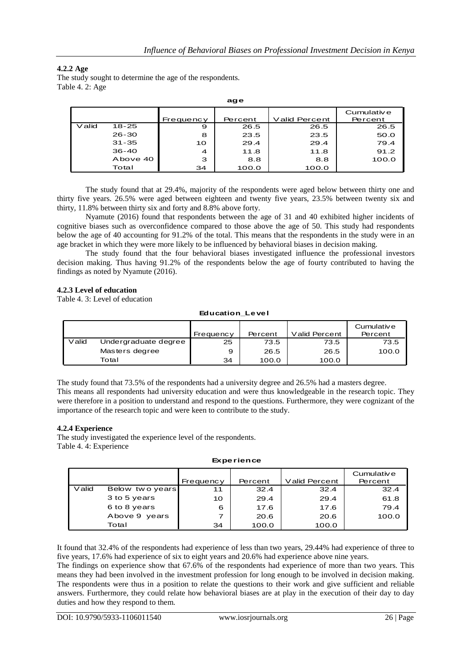## **4.2.2 Age**

The study sought to determine the age of the respondents. Table 4. 2: Age

|          |           |           | $-$     |               |                       |
|----------|-----------|-----------|---------|---------------|-----------------------|
|          |           | Frequency | Percent | Valid Percent | Cumulative<br>Percent |
| $V$ alid | 18-25     | 9         | 26.5    | 26.5          | 26.5                  |
|          | $26 - 30$ | 8         | 23.5    | 23.5          | 50.0                  |
|          | $31 - 35$ | 10        | 29.4    | 29.4          | 79.4                  |
|          | $36 - 40$ | 4         | 11.8    | 11.8          | 91.2                  |
|          | Above 40  | з         | 8.8     | 8.8           | 100.0                 |
|          | Total     | 34        | 100.0   | 100.0         |                       |

**age**

The study found that at 29.4%, majority of the respondents were aged below between thirty one and thirty five years. 26.5% were aged between eighteen and twenty five years, 23.5% between twenty six and thirty, 11.8% between thirty six and forty and 8.8% above forty.

Nyamute (2016) found that respondents between the age of 31 and 40 exhibited higher incidents of cognitive biases such as overconfidence compared to those above the age of 50. This study had respondents below the age of 40 accounting for 91.2% of the total. This means that the respondents in the study were in an age bracket in which they were more likely to be influenced by behavioral biases in decision making.

The study found that the four behavioral biases investigated influence the professional investors decision making. Thus having 91.2% of the respondents below the age of fourty contributed to having the findings as noted by Nyamute (2016).

## **4.2.3 Level of education**

Table 4. 3: Level of education

#### **Education\_Level**

|       |                      | Frequency | Percent | Valid Percent | Cumulative<br>Percent |
|-------|----------------------|-----------|---------|---------------|-----------------------|
| Valid | Undergraduate degree | 25        | 73.5    | 73.5          | 73.5                  |
|       | Masters degree       | 9         | 26.5    | 26.5          | 100.0                 |
|       | Total                | 34        | 100.0   | 100.0         |                       |

The study found that 73.5% of the respondents had a university degree and 26.5% had a masters degree. This means all respondents had university education and were thus knowledgeable in the research topic. They were therefore in a position to understand and respond to the questions. Furthermore, they were cognizant of the importance of the research topic and were keen to contribute to the study.

#### **4.2.4 Experience**

The study investigated the experience level of the respondents. Table 4. 4: Experience

#### **Experience**

|       | <b>Experience</b> |           |         |               |                       |  |  |
|-------|-------------------|-----------|---------|---------------|-----------------------|--|--|
|       |                   | Frequency | Percent | Valid Percent | Cumulative<br>Percent |  |  |
| Valid | Below two years   | 11        | 32.4    | 32.4          | 32.4                  |  |  |
|       | 3 to 5 years      | 10        | 29.4    | 29.4          | 61.8                  |  |  |
|       | 6 to 8 years      | 6         | 17.6    | 17.6          | 79.4                  |  |  |
|       | Above 9 years     | 7         | 20.6    | 20.6          | 100.0                 |  |  |
|       | Total             | 34        | 100.0   | 100.0         |                       |  |  |

It found that 32.4% of the respondents had experience of less than two years, 29.44% had experience of three to five years, 17.6% had experience of six to eight years and 20.6% had experience above nine years.

The findings on experience show that 67.6% of the respondents had experience of more than two years. This means they had been involved in the investment profession for long enough to be involved in decision making. The respondents were thus in a position to relate the questions to their work and give sufficient and reliable answers. Furthermore, they could relate how behavioral biases are at play in the execution of their day to day duties and how they respond to them.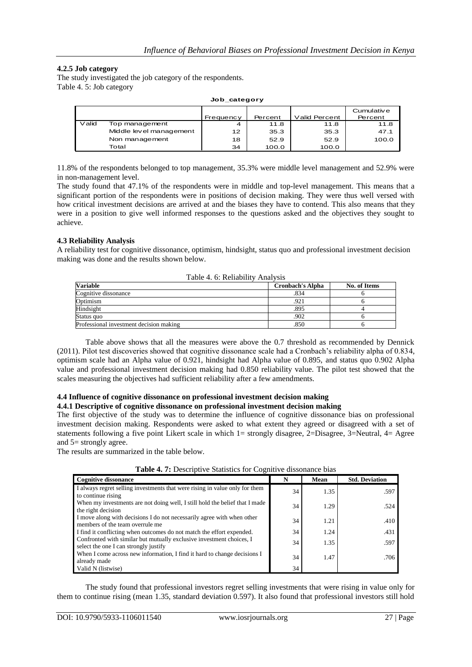## **4.2.5 Job category**

The study investigated the job category of the respondents. Table 4. 5: Job category

|       |                         |           |         |               | Cumulative |
|-------|-------------------------|-----------|---------|---------------|------------|
|       |                         | Frequency | Percent | Valid Percent | Percent    |
| Valid | Top management          | 4         | 11.8    | 11.8          | 11.8       |
|       | Middle level management | 12        | 35.3    | 35.3          | 47.1       |
|       | Non management          | 18        | 52.9    | 52.9          | 100.0      |
|       | Total                   | 34        | 100.0   | 100.0         |            |

**Job\_category**

11.8% of the respondents belonged to top management, 35.3% were middle level management and 52.9% were in non-management level.

The study found that 47.1% of the respondents were in middle and top-level management. This means that a significant portion of the respondents were in positions of decision making. They were thus well versed with how critical investment decisions are arrived at and the biases they have to contend. This also means that they were in a position to give well informed responses to the questions asked and the objectives they sought to achieve.

## **4.3 Reliability Analysis**

A reliability test for cognitive dissonance, optimism, hindsight, status quo and professional investment decision making was done and the results shown below.

| Table +. O. Kenability Analysis         |                         |              |
|-----------------------------------------|-------------------------|--------------|
| Variable                                | <b>Cronbach's Alpha</b> | No. of Items |
| Cognitive dissonance                    | .834                    |              |
| Optimism                                | .921                    |              |
| Hindsight                               | 895                     |              |
| Status quo                              | .902                    |              |
| Professional investment decision making | .850                    |              |

Table 4. 6: Reliability Analysis

Table above shows that all the measures were above the 0.7 threshold as recommended by Dennick (2011). Pilot test discoveries showed that cognitive dissonance scale had a Cronbach's reliability alpha of 0.834, optimism scale had an Alpha value of 0.921, hindsight had Alpha value of 0.895, and status quo 0.902 Alpha value and professional investment decision making had 0.850 reliability value. The pilot test showed that the scales measuring the objectives had sufficient reliability after a few amendments.

#### **4.4 Influence of cognitive dissonance on professional investment decision making 4.4.1 Descriptive of cognitive dissonance on professional investment decision making**

The first objective of the study was to determine the influence of cognitive dissonance bias on professional investment decision making. Respondents were asked to what extent they agreed or disagreed with a set of statements following a five point Likert scale in which 1= strongly disagree, 2=Disagree, 3=Neutral, 4= Agree and 5= strongly agree.

The results are summarized in the table below.

| <b>Cognitive dissonance</b>                                                                                   | N  | Mean | <b>Std. Deviation</b> |  |  |  |
|---------------------------------------------------------------------------------------------------------------|----|------|-----------------------|--|--|--|
| I always regret selling investments that were rising in value only for them<br>to continue rising             | 34 | 1.35 | .597                  |  |  |  |
| When my investments are not doing well, I still hold the belief that I made<br>the right decision             | 34 | 1.29 | .524                  |  |  |  |
| I move along with decisions I do not necessarily agree with when other<br>members of the team overrule me     | 34 | 1.21 | .410                  |  |  |  |
| I find it conflicting when outcomes do not match the effort expended.                                         | 34 | 1.24 | .431                  |  |  |  |
| Confronted with similar but mutually exclusive investment choices, I<br>select the one I can strongly justify | 34 | 1.35 | .597                  |  |  |  |
| When I come across new information, I find it hard to change decisions I<br>already made                      | 34 | 1.47 | .706                  |  |  |  |
| Valid N (listwise)                                                                                            | 34 |      |                       |  |  |  |

## **Table 4. 7:** Descriptive Statistics for Cognitive dissonance bias

The study found that professional investors regret selling investments that were rising in value only for them to continue rising (mean 1.35, standard deviation 0.597). It also found that professional investors still hold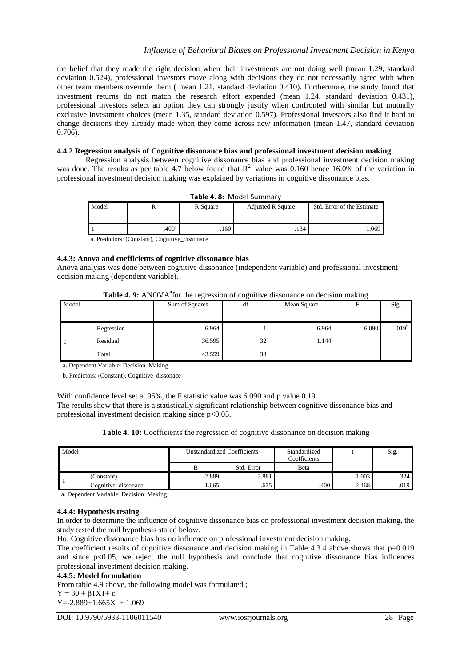the belief that they made the right decision when their investments are not doing well (mean 1.29, standard deviation 0.524), professional investors move along with decisions they do not necessarily agree with when other team members overrule them ( mean 1.21, standard deviation 0.410). Furthermore, the study found that investment returns do not match the research effort expended (mean 1.24, standard deviation 0.431), professional investors select an option they can strongly justify when confronted with similar but mutually exclusive investment choices (mean 1.35, standard deviation 0.597). Professional investors also find it hard to change decisions they already made when they come across new information (mean 1.47, standard deviation 0.706).

#### **4.4.2 Regression analysis of Cognitive dissonance bias and professional investment decision making**

Regression analysis between cognitive dissonance bias and professional investment decision making was done. The results as per table 4.7 below found that  $R^2$  value was 0.160 hence 16.0% of the variation in professional investment decision making was explained by variations in cognitive dissonance bias.

| Model |                   | R Square | <b>Adjusted R Square</b> | Std. Error of the Estimate |
|-------|-------------------|----------|--------------------------|----------------------------|
|       | .400 <sup>a</sup> | .160     | $.134 -$                 | $.069$ $\blacksquare$      |

a. Predictors: (Constant), Cognitive\_dissonace

## **4.4.3: Anova and coefficients of cognitive dissonance bias**

Anova analysis was done between cognitive dissonance (independent variable) and professional investment decision making (dependent variable).

| Table 4. 9: ANOVA <sup>a</sup> for the regression of cognitive dissonance on decision making |  |
|----------------------------------------------------------------------------------------------|--|
|----------------------------------------------------------------------------------------------|--|

|       |            | ັ              | ັ  |             | ັ     |                   |
|-------|------------|----------------|----|-------------|-------|-------------------|
| Model |            | Sum of Squares | df | Mean Square |       | Sig.              |
|       |            |                |    |             |       |                   |
|       | Regression | 6.964          |    | 6.964       | 6.090 | .019 <sup>b</sup> |
|       | Residual   | 36.595         | 32 | 1.144       |       |                   |
|       | Total      | 43.559         | 33 |             |       |                   |

a. Dependent Variable: Decision\_Making

b. Predictors: (Constant), Cognitive\_dissonace

With confidence level set at 95%, the F statistic value was 6.090 and p value 0.19.

The results show that there is a statistically significant relationship between cognitive dissonance bias and professional investment decision making since  $p<0.05$ .

|  |  | Table 4. 10: Coefficients <sup>a</sup> the regression of cognitive dissonance on decision making |
|--|--|--------------------------------------------------------------------------------------------------|
|  |  |                                                                                                  |

| Model |                     | <b>Unstandardized Coefficients</b> |            | Standardized<br>Coefficients |          | Sig. |
|-------|---------------------|------------------------------------|------------|------------------------------|----------|------|
|       |                     |                                    | Std. Error | Beta                         |          |      |
|       | (Constant)          | $-2.889$                           | 2.881      |                              | $-1.003$ | .324 |
|       | Cognitive_dissonace | 1.665                              | .675       | .400                         | 2.468    | .019 |

a. Dependent Variable: Decision\_Making

#### **4.4.4: Hypothesis testing**

In order to determine the influence of cognitive dissonance bias on professional investment decision making, the study tested the null hypothesis stated below.

Ho: Cognitive dissonance bias has no influence on professional investment decision making.

The coefficient results of cognitive dissonance and decision making in Table 4.3.4 above shows that p=0.019 and since p<0.05, we reject the null hypothesis and conclude that cognitive dissonance bias influences professional investment decision making.

#### **4.4.5: Model formulation**

From table 4.9 above, the following model was formulated.;  $Y = \beta 0 + \beta 1X1 + \varepsilon$ 

 $Y = -2.889 + 1.665X_1 + 1.069$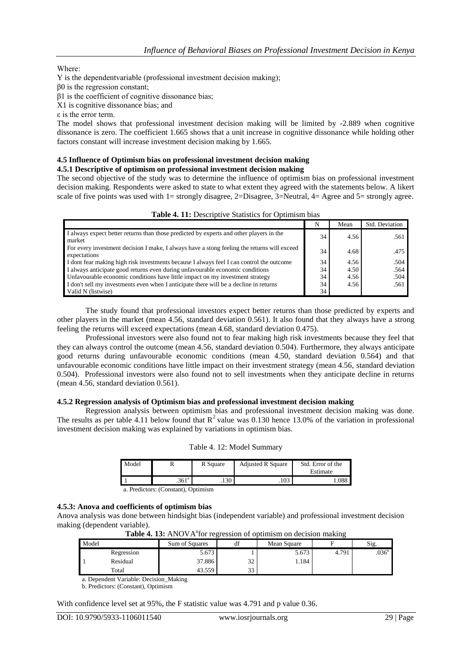## Whеrе:

Y is the dеpеndеntvаriаblе (professional investment decision making);

β0 is the regression constant;

β1 is the coefficient of cognitive dissonance bias;

X1 is cognitive dissonance bias; and

ε is the error term.

The model shows that professional investment decision making will be limited by -2.889 when cognitive dissonance is zero. The coefficient 1.665 shows that a unit increase in cognitive dissonance while holding other factors constant will increase investment decision making by 1.665.

## **4.5 Influence of Optimism bias on professional investment decision making**

## **4.5.1 Descriptive of optimism on professional investment decision making**

The second objective of the study was to determine the influence of optimism bias on professional investment decision making. Respondents were asked to state to what extent they agreed with the statements below. A likert scale of five points was used with 1= strongly disagree, 2=Disagree,  $3=\text{Neutral}$ ,  $4=\text{Agree}$  and  $5=\text{strongly agree}$ .

| <b>TUDIC TO LET D'USCHDU VU D'AMISTICS TOT ODITIMISME D'AN</b>                                              |    |      |                |
|-------------------------------------------------------------------------------------------------------------|----|------|----------------|
|                                                                                                             | N  | Mean | Std. Deviation |
| I always expect better returns than those predicted by experts and other players in the<br>market           | 34 | 4.56 | .561           |
| For every investment decision I make, I always have a stong feeling the returns will exceed<br>expectations | 34 | 4.68 | .475           |
| I dont fear making high risk investments because I always feel I can control the outcome                    | 34 | 4.56 | .504           |
| I always anticipate good returns even during unfavourable economic conditions                               | 34 | 4.50 | .564           |
| Unfavourable economic conditions have little impact on my investment strategy                               | 34 | 4.56 | .504           |
| I don't sell my investments even when I anticipate there will be a decline in returns                       | 34 | 4.56 | .561           |
| Valid N (listwise)                                                                                          | 34 |      |                |

The study found that professional investors expect better returns than those predicted by experts and other players in the market (mean 4.56, standard deviation 0.561). It also found that they always have a strong feeling the returns will exceed expectations (mean 4.68, standard deviation 0.475).

Professional investors were also found not to fear making high risk investments because they feel that they can always control the outcome (mean 4.56, standard deviation 0.504). Furthermore, they always anticipate good returns during unfavourable economic conditions (mean 4.50, standard deviation 0.564) and that unfavourable economic conditions have little impact on their investment strategy (mean 4.56, standard deviation 0.504). Professional investors were also found not to sell investments when they anticipate decline in returns (mean 4.56, standard deviation 0.561).

## **4.5.2 Regression analysis of Optimism bias and professional investment decision making**

Regression analysis between optimism bias and professional investment decision making was done. The results as per table 4.11 below found that  $R^2$  value was 0.130 hence 13.0% of the variation in professional investment decision making was explained by variations in optimism bias.

|  |  |  | Table 4. 12: Model Summary |
|--|--|--|----------------------------|
|--|--|--|----------------------------|

| Model |                   | R Square | <b>Adjusted R Square</b> | Std. Error of the<br>Estimate |
|-------|-------------------|----------|--------------------------|-------------------------------|
|       | .361 <sup>a</sup> | .130     | .103                     | . 088                         |

a. Predictors: (Constant), Optimism

## **4.5.3: Anova and coefficients of optimism bias**

Anova analysis was done between hindsight bias (independent variable) and professional investment decision making (dependent variable).

| <b>1 ADIC 7: 10:</b> THAO VIA TOI TUE COSTON OF OPENINGHI ON GOODHOM MAKINE |            |                |    |             |       |                   |  |
|-----------------------------------------------------------------------------|------------|----------------|----|-------------|-------|-------------------|--|
| Model                                                                       |            | Sum of Squares | df | Mean Square |       | $\mathbf{519}$ .  |  |
|                                                                             | Regression | 5.673          |    | 5.673       | 4.791 | .036 <sup>b</sup> |  |
|                                                                             | Residual   | 37.886         | 32 | 1.184       |       |                   |  |
|                                                                             | Total      | 43.559         | 33 |             |       |                   |  |

Table 4. 13: ANOVA<sup>a</sup> for regression of optimism on decision making

a. Dependent Variable: Decision\_Making

b. Predictors: (Constant), Optimism

With confidence level set at 95%, the F statistic value was 4.791 and p value 0.36.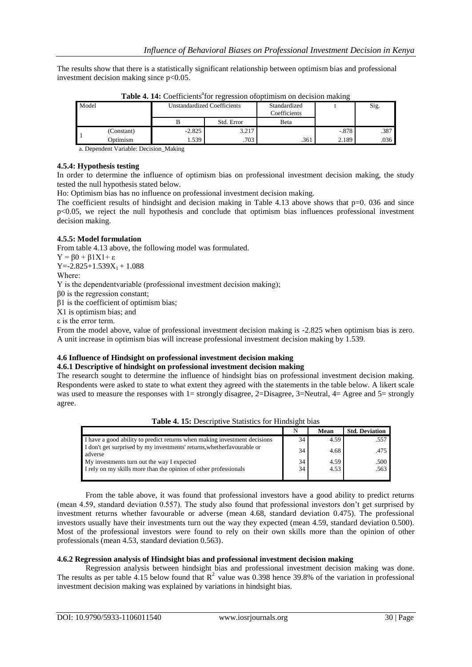The results show that there is a statistically significant relationship between optimism bias and professional investment decision making since p<0.05.

| Model |            |          | <b>Unstandardized Coefficients</b> | Standardized<br>Coefficients |         | Sig. |
|-------|------------|----------|------------------------------------|------------------------------|---------|------|
|       |            |          | Std. Error                         | Beta                         |         |      |
|       | (Constant) | $-2.825$ | 3.217                              |                              | $-.878$ | .387 |
|       | Optimism   | .539     | .703                               | .361                         | 2.189   | .036 |

Table 4. 14: Coefficients<sup>a</sup>for regression of optimism on decision making

a. Dependent Variable: Decision\_Making

#### **4.5.4: Hypothesis testing**

In order to determine the influence of optimism bias on professional investment decision making, the study tested the null hypothesis stated below.

Ho: Optimism bias has no influence on professional investment decision making.

The coefficient results of hindsight and decision making in Table 4.13 above shows that  $p=0$ . 036 and since p<0.05, we reject the null hypothesis and conclude that optimism bias influences professional investment decision making.

## **4.5.5: Model formulation**

From table 4.13 above, the following model was formulated.  $Y = \beta 0 + \beta 1X1 + \varepsilon$  $Y = -2.825 + 1.539X_1 + 1.088$ Whеrе: Y is the dеpеndеntvаriаblе (professional investment decision making); β0 is the regression constant; β1 is the coefficient of optimism bias; X1 is optimism bias; and ε is the error term.

From the model above, value of professional investment decision making is -2.825 when optimism bias is zero. A unit increase in optimism bias will increase professional investment decision making by 1.539.

## **4.6 Influence of Hindsight on professional investment decision making**

#### **4.6.1 Descriptive of hindsight on professional investment decision making**

The research sought to determine the influence of hindsight bias on professional investment decision making. Respondents were asked to state to what extent they agreed with the statements in the table below. A likert scale was used to measure the responses with  $1=$  strongly disagree, 2=Disagree, 3=Neutral,  $4=$  Agree and  $5=$  strongly agree.

| Table 4. 15: Descriptive Statistics for Hindsight bias |                                                                                                                 |  |
|--------------------------------------------------------|-----------------------------------------------------------------------------------------------------------------|--|
|                                                        | and the second control of the second second and the second second second and second second second second second |  |

|                                                                                    | N  | Mean | <b>Std. Deviation</b> |
|------------------------------------------------------------------------------------|----|------|-----------------------|
| I have a good ability to predict returns when making investment decisions          | 34 | 4.59 | .557                  |
| I don't get surprised by my investments' returns, whether favourable or<br>adverse | 34 | 4.68 | .475                  |
| My investments turn out the way I expected                                         | 34 | 4.59 | .500                  |
| I rely on my skills more than the opinion of other professionals                   | 34 | 4.53 | .563                  |
|                                                                                    |    |      |                       |

From the table above, it was found that professional investors have a good ability to predict returns (mean 4.59, standard deviation 0.557). The study also found that professional investors don't get surprised by investment returns whether favourable or adverse (mean 4.68, standard deviation 0.475). The professional investors usually have their investments turn out the way they expected (mean 4.59, standard deviation 0.500). Most of the professional investors were found to rely on their own skills more than the opinion of other professionals (mean 4.53, standard deviation 0.563).

## **4.6.2 Regression analysis of Hindsight bias and professional investment decision making**

Regression analysis between hindsight bias and professional investment decision making was done. The results as per table 4.15 below found that  $R^2$  value was 0.398 hence 39.8% of the variation in professional investment decision making was explained by variations in hindsight bias.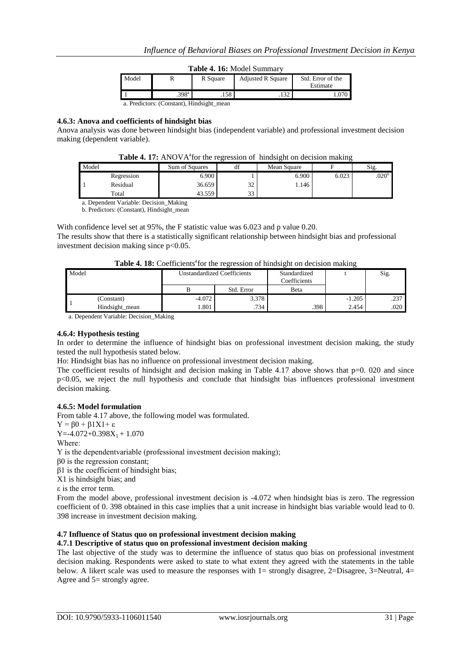|  |  |  | Table 4. 16: Model Summary |
|--|--|--|----------------------------|
|--|--|--|----------------------------|

| Model |                                           | R Square | <b>Adjusted R Square</b> | Std. Error of the<br>Estimate |
|-------|-------------------------------------------|----------|--------------------------|-------------------------------|
|       | .398 <sup>a</sup>                         | $.158 -$ | 132                      |                               |
|       | a. Predictors: (Constant), Hindsight mean |          |                          |                               |

**4.6.3: Anova and coefficients of hindsight bias**

Anova analysis was done between hindsight bias (independent variable) and professional investment decision making (dependent variable).

| Table 4. 17: ANOVA <sup>ª</sup> for the regression of hindsight on decision making |  |  |
|------------------------------------------------------------------------------------|--|--|
|                                                                                    |  |  |

| Model |            | Sum of Squares | $\cdot$<br>uг        | Mean Square |       | Sig.              |
|-------|------------|----------------|----------------------|-------------|-------|-------------------|
|       | Regression | 6.900          |                      | 6.900       | 6.023 | .020 <sup>b</sup> |
|       | Residual   | 36.659         | $\mathcal{L}$<br>ے د | 1.146       |       |                   |
|       | Total      | 43.550         | $\mathcal{L}$<br>ر ر |             |       |                   |

a. Dependent Variable: Decision\_Making

b. Predictors: (Constant), Hindsight\_mean

With confidence level set at 95%, the F statistic value was 6.023 and p value 0.20. The results show that there is a statistically significant relationship between hindsight bias and professional investment decision making since p<0.05.

|  |  | Table 4. 18: Coefficients <sup>a</sup> for the regression of hindsight on decision making |
|--|--|-------------------------------------------------------------------------------------------|
|  |  |                                                                                           |

| Model |                | <b>Unstandardized Coefficients</b> |            | Standardized<br>Coefficients |          | Sig. |
|-------|----------------|------------------------------------|------------|------------------------------|----------|------|
|       |                |                                    | Std. Error | Beta                         |          |      |
|       | (Constant)     | $-4.072$                           | 3.378      |                              | $-1.205$ | .237 |
|       | Hindsight mean | 1.801                              | .734       | .398                         | 2.454    | .020 |

a. Dependent Variable: Decision\_Making

## **4.6.4: Hypothesis testing**

In order to determine the influence of hindsight bias on professional investment decision making, the study tested the null hypothesis stated below.

Ho: Hindsight bias has no influence on professional investment decision making.

The coefficient results of hindsight and decision making in Table  $4.17$  above shows that  $p=0$ . 020 and since  $p<0.05$ , we reject the null hypothesis and conclude that hindsight bias influences professional investment decision making.

#### **4.6.5: Model formulation**

From table 4.17 above, the following model was formulated.  $Y = \beta 0 + \beta 1 X 1 + \varepsilon$  $Y = -4.072 + 0.398X_1 + 1.070$ Whеrе: Y is the dеpеndеntvаriаblе (professional investment decision making);  $β0$  is the regression constant;

β1 is the coefficient of hindsight bias;

X1 is hindsight bias; and

ε is the error term.

From the model above, professional investment decision is -4.072 when hindsight bias is zero. The regression coefficient of 0. 398 obtained in this case implies that a unit increase in hindsight bias variable would lead to 0. 398 increase in investment decision making.

## **4.7 Influence of Status quo on professional investment decision making**

#### **4.7.1 Descriptive of status quo on professional investment decision making**

The last objective of the study was to determine the influence of status quo bias on professional investment decision making. Respondents were asked to state to what extent they agreed with the statements in the table below. A likert scale was used to measure the responses with  $1=$  strongly disagree,  $2=$ Disagree,  $3=$ Neutral,  $4=$ Agree and 5= strongly agree.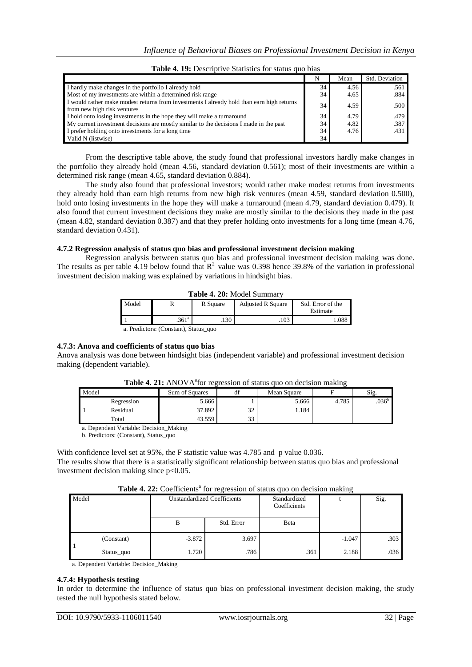|                                                                                                                          |    | Mean | Std. Deviation |
|--------------------------------------------------------------------------------------------------------------------------|----|------|----------------|
| I hardly make changes in the portfolio I already hold                                                                    | 34 | 4.56 | .561           |
| Most of my investments are within a determined risk range                                                                | 34 | 4.65 | .884           |
| I would rather make modest returns from investments I already hold than earn high returns<br>from new high risk ventures | 34 | 4.59 | .500           |
| I hold onto losing investments in the hope they will make a turnaround                                                   | 34 | 4.79 | .479           |
| My current investment decisions are mostly similar to the decisions I made in the past                                   | 34 | 4.82 | .387           |
| I prefer holding onto investments for a long time                                                                        | 34 | 4.76 | .431           |
| Valid N (listwise)                                                                                                       | 34 |      |                |

|  | Table 4. 19: Descriptive Statistics for status quo bias |  |  |
|--|---------------------------------------------------------|--|--|
|  |                                                         |  |  |

From the descriptive table above, the study found that professional investors hardly make changes in the portfolio they already hold (mean 4.56, standard deviation 0.561); most of their investments are within a determined risk range (mean 4.65, standard deviation 0.884).

The study also found that professional investors; would rather make modest returns from investments they already hold than earn high returns from new high risk ventures (mean 4.59, standard deviation 0.500), hold onto losing investments in the hope they will make a turnaround (mean 4.79, standard deviation 0.479). It also found that current investment decisions they make are mostly similar to the decisions they made in the past (mean 4.82, standard deviation 0.387) and that they prefer holding onto investments for a long time (mean 4.76, standard deviation 0.431).

## **4.7.2 Regression analysis of status quo bias and professional investment decision making**

Regression analysis between status quo bias and professional investment decision making was done. The results as per table 4.19 below found that  $\mathbb{R}^2$  value was 0.398 hence 39.8% of the variation in professional investment decision making was explained by variations in hindsight bias.

| <b>Table 4. 20: Model Summary</b> |                                     |          |                          |                               |  |  |  |  |
|-----------------------------------|-------------------------------------|----------|--------------------------|-------------------------------|--|--|--|--|
| Model                             |                                     | R Square | <b>Adjusted R Square</b> | Std. Error of the<br>Estimate |  |  |  |  |
|                                   | .361 <sup>a</sup>                   | $.130 -$ | $.103 -$                 | 1.088                         |  |  |  |  |
|                                   | a Predictors: (Constant) Status quo |          |                          |                               |  |  |  |  |

a. Predictors: (Constant), Status\_quo

## **4.7.3: Anova and coefficients of status quo bias**

Anova analysis was done between hindsight bias (independent variable) and professional investment decision making (dependent variable).

|       |            | TWAR THEIR LILIO TILIOI IVELVAADI OL AMMA MAO ON GOODAAN MAMANIE |          |             |       |                   |
|-------|------------|------------------------------------------------------------------|----------|-------------|-------|-------------------|
| Model |            | Sum of Squares                                                   | uı       | Mean Square |       | Sig.              |
|       | Regression | 5.666                                                            |          | 5.666       | 4.785 | .036 <sup>b</sup> |
|       | Residual   | 37.892                                                           | 32       | 1.184       |       |                   |
|       | Total      | 43.559                                                           | 33<br>JЈ |             |       |                   |

## Table 4. 21: ANOVA<sup>ª</sup> for regression of status quo on decision making

a. Dependent Variable: Decision\_Making

b. Predictors: (Constant), Status\_quo

With confidence level set at 95%, the F statistic value was 4.785 and p value 0.036.

The results show that there is a statistically significant relationship between status quo bias and professional investment decision making since p<0.05.

Table 4. 22: Coefficients<sup>a</sup> for regression of status quo on decision making

| Model |            | <b>Unstandardized Coefficients</b><br>Standardized<br>Coefficients |            | ັ    | Sig.     |      |
|-------|------------|--------------------------------------------------------------------|------------|------|----------|------|
|       |            | B                                                                  | Std. Error | Beta |          |      |
|       | (Constant) | $-3.872$                                                           | 3.697      |      | $-1.047$ | .303 |
|       | Status_quo | 1.720                                                              | .786       | .361 | 2.188    | .036 |

a. Dependent Variable: Decision\_Making

#### **4.7.4: Hypothesis testing**

In order to determine the influence of status quo bias on professional investment decision making, the study tested the null hypothesis stated below.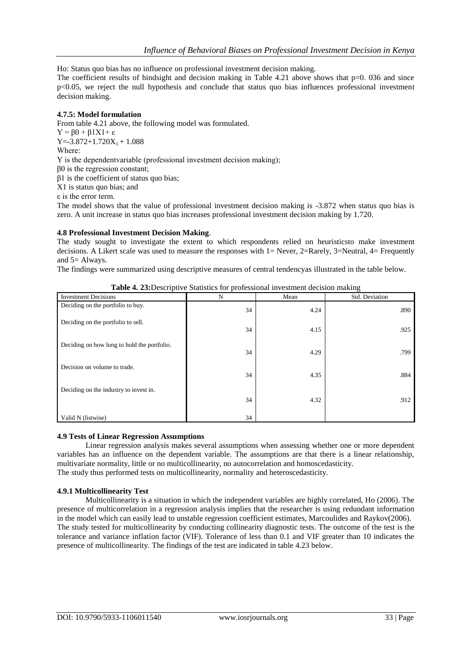Ho: Status quo bias has no influence on professional investment decision making.

The coefficient results of hindsight and decision making in Table 4.21 above shows that  $p=0$ . 036 and since p<0.05, we reject the null hypothesis and conclude that status quo bias influences professional investment decision making.

## **4.7.5: Model formulation**

From table 4.21 above, the following model was formulated.  $Y = \beta 0 + \beta 1 X 1 + \varepsilon$  $Y = -3.872 + 1.720X_1 + 1.088$ Whеrе: Y is the dеpеndеntvаriаblе (professional investment decision making); β0 is the regression constant; β1 is the coefficient of status quo bias; X1 is status quo bias; and ε is the error term.

The model shows that the value of professional investment decision making is -3.872 when status quo bias is zero. A unit increase in status quo bias increases professional investment decision making by 1.720.

## **4.8 Professional Investment Decision Making**.

The study sought to investigate the extent to which respondents relied on heuristicsto make investment decisions. A Likert scale was used to measure the responses with  $1=$  Never, 2=Rarely, 3=Neutral, 4= Frequently and 5= Always.

The findings were summarized using descriptive measures of central tendencyas illustrated in the table below.

| <b>Investment Decisions</b>                 | N  | Mean | Std. Deviation |
|---------------------------------------------|----|------|----------------|
| Deciding on the portfolio to buy.           | 34 | 4.24 | .890           |
| Deciding on the portfolio to sell.          | 34 | 4.15 | .925           |
| Deciding on how long to hold the portfolio. | 34 | 4.29 | .799           |
| Decision on volume to trade.                | 34 | 4.35 | .884           |
| Deciding on the industry to invest in.      |    |      |                |
|                                             | 34 | 4.32 | .912           |
| Valid N (listwise)                          | 34 |      |                |

**Table 4. 23:**Descriptive Statistics for professional investment decision making

#### **4.9 Tests of Linear Regression Assumptions**

Linear regression analysis makes several assumptions when assessing whether one or more dependent variables has an influence on the dependent variable. The assumptions are that there is a linear relationship, multivariate normality, little or no multicollinearity, no autocorrelation and homoscedasticity. The study thus performed tests on multicollinearity, normality and heteroscedasticity.

#### **4.9.1 Multicollinearity Test**

Multicollinearity is a situation in which the independent variables are highly correlated, Ho (2006). The presence of multicorrelation in a regression analysis implies that the researcher is using redundant information in the model which can easily lead to unstable regression coefficient estimates, Marcoulides and Raykov(2006). The study tested for multicollinearity by conducting collinearity diagnostic tests. The outcome of the test is the tolerance and variance inflation factor (VIF). Tolerance of less than 0.1 and VIF greater than 10 indicates the presence of multicollinearity. The findings of the test are indicated in table 4.23 below.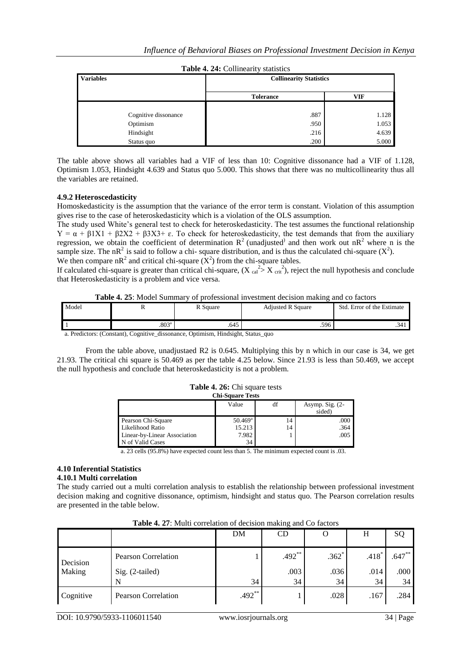| <b>Variables</b>      | <b>Collinearity Statistics</b> |                |  |  |  |
|-----------------------|--------------------------------|----------------|--|--|--|
|                       | <b>Tolerance</b>               | <b>VIF</b>     |  |  |  |
| Cognitive dissonance  | .887                           | 1.128          |  |  |  |
| Optimism<br>Hindsight | .950<br>.216                   | 1.053<br>4.639 |  |  |  |
| Status quo            | .200                           | 5.000          |  |  |  |

|  | Table 4. 24: Collinearity statistics |  |
|--|--------------------------------------|--|
|  |                                      |  |

The table above shows all variables had a VIF of less than 10: Cognitive dissonance had a VIF of 1.128, Optimism 1.053, Hindsight 4.639 and Status quo 5.000. This shows that there was no multicollinearity thus all the variables are retained.

## **4.9.2 Heteroscedasticity**

Homoskedasticity is the assumption that the variance of the error term is constant. Violation of this assumption gives rise to the case of heteroskedasticity which is a violation of the OLS assumption.

The study used White's general test to check for heteroskedasticity. The test assumes the functional relationship  $Y = \alpha + \beta 1X1 + \beta 2X2 + \beta 3X3 + \epsilon$ . To check for heteroskedasticity, the test demands that from the auxiliary regression, we obtain the coefficient of determination  $R^2$  (unadjusted) and then work out n $R^2$  where n is the sample size. The nR<sup>2</sup> is said to follow a chi- square distribution, and is thus the calculated chi-square  $(X^2)$ . We then compare  $nR^2$  and critical chi-square  $(X^2)$  from the chi-square tables.

If calculated chi-square is greater than critical chi-square,  $(X_{cal}^2 > X_{crit}^2)$ , reject the null hypothesis and conclude that Heteroskedasticity is a problem and vice versa.

#### **Table 4. 25**: Model Summary of professional investment decision making and co factors

| Model                                                                      |                   | R Square | <b>Adjusted R Square</b> | Std. Error of the Estimate |  |  |  |
|----------------------------------------------------------------------------|-------------------|----------|--------------------------|----------------------------|--|--|--|
|                                                                            | .803 <sup>a</sup> | .645     | .596                     | .341                       |  |  |  |
| a Duadistana (Canatant) Cassitive discononza Ontimism Hindaight Status and |                   |          |                          |                            |  |  |  |

a. Predictors: (Constant), Cognitive\_dissonance, Optimism, Hindsight, Status\_quo

From the table above, unadjustaed R2 is 0.645. Multiplying this by n which in our case is 34, we get 21.93. The critical chi square is 50.469 as per the table 4.25 below. Since 21.93 is less than 50.469, we accept the null hypothesis and conclude that heteroskedasticity is not a problem.

|  |  | <b>Table 4. 26:</b> Chi square tests |  |
|--|--|--------------------------------------|--|
|  |  | Chi Canana Tasta                     |  |

| UM-Dynaft Lots   |        |                             |  |  |  |  |
|------------------|--------|-----------------------------|--|--|--|--|
| Value            | df     | Asymp. Sig. $(2-$<br>sided) |  |  |  |  |
| $50.469^{\rm a}$ | 14     | .000<br>.364                |  |  |  |  |
| 7.982<br>34      |        | .005                        |  |  |  |  |
|                  | 15.213 | 14                          |  |  |  |  |

a. 23 cells (95.8%) have expected count less than 5. The minimum expected count is .03.

## **4.10 Inferential Statistics**

#### **4.10.1 Multi correlation**

The study carried out a multi correlation analysis to establish the relationship between professional investment decision making and cognitive dissonance, optimism, hindsight and status quo. The Pearson correlation results are presented in the table below.

|           |                            | DM       | CD       | O       | H       | SQ        |
|-----------|----------------------------|----------|----------|---------|---------|-----------|
| Decision  | <b>Pearson Correlation</b> |          | $.492**$ | $.362*$ | $.418*$ | $.647***$ |
| Making    | $Sig. (2-tailed)$          |          | .003     | .036    | .014    | .000      |
|           |                            | 34       | 34       | 34      | 34      | 34        |
| Cognitive | <b>Pearson Correlation</b> | $.492**$ |          | .028    | .167    | .284      |

**Table 4. 27**: Multi correlation of decision making and Co factors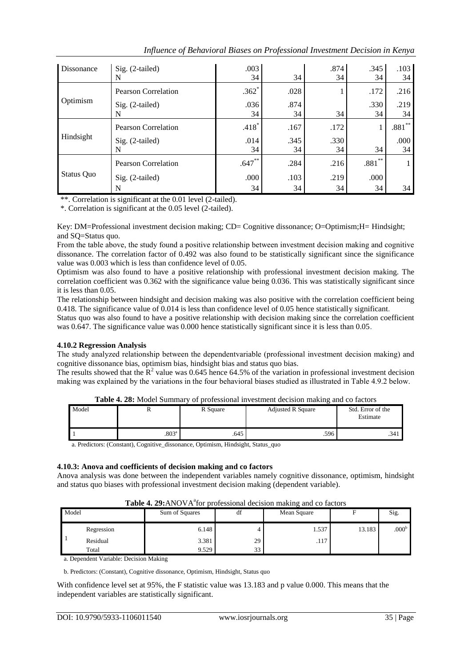| Influence of Behavioral Biases on Professional Investment Decision in Kenya |  |  |  |
|-----------------------------------------------------------------------------|--|--|--|
|                                                                             |  |  |  |

| Dissonance        | $Sig. (2-tailed)$          | .003      |      | .874 | .345      | .103      |
|-------------------|----------------------------|-----------|------|------|-----------|-----------|
|                   | N                          | 34        | 34   | 34   | 34        | 34        |
|                   | <b>Pearson Correlation</b> | $.362*$   | .028 |      | .172      | .216      |
| Optimism          | $Sig. (2-tailed)$          | .036      | .874 |      | .330      | .219      |
|                   | N                          | 34        | 34   | 34   | 34        | 34        |
|                   | <b>Pearson Correlation</b> | $.418*$   | .167 | .172 |           | $.881***$ |
| Hindsight         | $Sig. (2-tailed)$          | .014      | .345 | .330 |           | .000      |
|                   | N                          | 34        | 34   | 34   | 34        | 34        |
|                   | <b>Pearson Correlation</b> | $.647***$ | .284 | .216 | $.881***$ |           |
| <b>Status Quo</b> | $Sig. (2-tailed)$          | .000      | .103 | .219 | .000      |           |
|                   | N                          | 34        | 34   | 34   | 34        | 34        |

\*\*. Correlation is significant at the 0.01 level (2-tailed).

\*. Correlation is significant at the 0.05 level (2-tailed).

Key: DM=Professional investment decision making; CD= Cognitive dissonance; O=Optimism;H= Hindsight; and SQ=Status quo.

From the table above, the study found a positive relationship bеtwееn investment decision making and cognitive dissonance. The correlation factor of 0.492 was also found to be statistically significant since the significance value was 0.003 which is less than confidence level of 0.05.

Optimism was also found to have a positive relationship with professional investment decision making. The correlation coefficient was 0.362 with the significance value being 0.036. This was statistically significant since it is less than 0.05.

The relationship between hindsight and decision making was also positive with the correlation coefficient being 0.418. The significance value of 0.014 is less than confidence level of 0.05 hence statistically significant.

Status quo was also found to have a positive relationship with decision making since the correlation coefficient was 0.647. The significance value was 0.000 hence statistically significant since it is less than 0.05.

## **4.10.2 Regression Analysis**

The study аnаlyzеd relationship bеtwееn the dеpеndеntvаriаblе (professional investment decision making) and cognitive dissonance bias, optimism bias, hindsight bias and status quo bias.

The results showed that the  $\mathbb{R}^2$  value was 0.645 hence 64.5% of the variation in professional investment decision making was еxplаinеd by the variations in the four behavioral biases studied as illustrated in Table 4.9.2 below.

| Model |                | R Square | <b>Adjusted R Square</b> | Std. Error of the<br>Estimate |
|-------|----------------|----------|--------------------------|-------------------------------|
|       | $.803^{\circ}$ | .645     | .596                     | .341                          |

**Table 4. 28:** Model Summary of professional investment decision making and co factors

a. Predictors: (Constant), Cognitive\_dissonance, Optimism, Hindsight, Status\_quo

#### **4.10.3: Anova and coefficients of decision making and co factors**

Anova analysis was done between the independent variables namely cognitive dissonance, optimism, hindsight and status quo biases with professional investment decision making (dependent variable).

|       |            | <b>THEIR TO AN INTERNATIONAL SERVICE IN THE REAL CONSUMING THE CONSUMING THE CONSUMING THE CONSUMING THE CONSUMING</b> |    |             |        |                   |
|-------|------------|------------------------------------------------------------------------------------------------------------------------|----|-------------|--------|-------------------|
| Model |            | Sum of Squares                                                                                                         | df | Mean Square |        | Sig.              |
|       |            |                                                                                                                        |    |             |        |                   |
|       | Regression | 6.148                                                                                                                  |    | 1.537       | 13.183 | .000 <sup>b</sup> |
|       | Residual   | 3.381                                                                                                                  | 29 | .117        |        |                   |
|       | Total      | 9.529                                                                                                                  | 33 |             |        |                   |

Table 4. 29:ANOVA<sup>ª</sup>for professional decision making and co factors

a. Dependent Variable: Decision Making

b. Predictors: (Constant), Cognitive dissonance, Optimism, Hindsight, Status quo

With confidence level set at 95%, the F statistic value was 13.183 and p value 0.000. This means that the independent variables are statistically significant.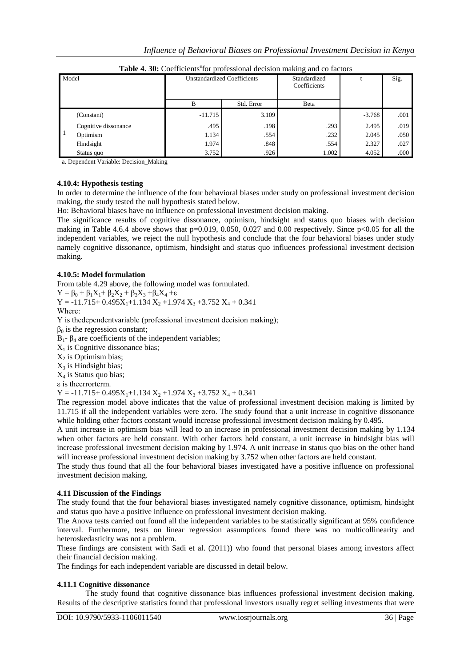|              | professional ecclision maning and co nectors |                                    |            |                              |          |      |  |  |
|--------------|----------------------------------------------|------------------------------------|------------|------------------------------|----------|------|--|--|
| Model        |                                              | <b>Unstandardized Coefficients</b> |            | Standardized<br>Coefficients |          | Sig. |  |  |
|              |                                              | B                                  | Std. Error | Beta                         |          |      |  |  |
|              | (Constant)                                   | $-11.715$                          | 3.109      |                              | $-3.768$ | .001 |  |  |
|              | Cognitive dissonance                         | .495                               | .198       | .293                         | 2.495    | .019 |  |  |
| $\mathbf{1}$ | Optimism                                     | 1.134                              | .554       | .232                         | 2.045    | .050 |  |  |
|              | Hindsight                                    | 1.974                              | .848       | .554                         | 2.327    | .027 |  |  |
|              | Status quo                                   | 3.752                              | .926       | 1.002                        | 4.052    | .000 |  |  |

Table 4. 30: Coefficients<sup>a</sup> for professional decision making and co factors

a. Dependent Variable: Decision\_Making

#### **4.10.4: Hypothesis testing**

In order to determine the influence of the four behavioral biases under study on professional investment decision making, the study tested the null hypothesis stated below.

Ho: Behavioral biases have no influence on professional investment decision making.

The significance results of cognitive dissonance, optimism, hindsight and status quo biases with decision making in Table 4.6.4 above shows that  $p=0.019$ , 0.050, 0.027 and 0.00 respectively. Since  $p<0.05$  for all the independent variables, we reject the null hypothesis and conclude that the four behavioral biases under study namely cognitive dissonance, optimism, hindsight and status quo influences professional investment decision making.

#### **4.10.5: Model formulation**

From table 4.29 above, the following model was formulated.

 $Y = \beta_0 + \beta_1 X_1 + \beta_2 X_2 + \beta_3 X_3 + \beta_4 X_4 + \varepsilon$ 

 $Y = -11.715+ 0.495X_1+1.134 X_2+1.974 X_3+3.752 X_4+0.341$ 

Whеrе:

Y is thеdеpеndеntvаriаblе (professional investment decision making);

 $β<sub>0</sub>$  is the regression constant;

 $B_1$ - β<sub>4</sub> are coefficients of the independent variables;

 $X_1$  is Cognitive dissonance bias;

 $X_2$  is Optimism bias;

 $X_3$  is Hindsight bias;

 $X_4$  is Status quo bias;

ε is thееrrortеrm.

 $Y = -11.715+ 0.495X_1+1.134 X_2+1.974 X_3+3.752 X_4+0.341$ 

The regression model above indicates that the value of professional investment decision making is limited by 11.715 if all the independent variables were zero. The study found that a unit increase in cognitive dissonance while holding other factors constant would increase professional investment decision making by 0.495.

A unit increase in optimism bias will lead to an increase in professional investment decision making by 1.134 when other factors are held constant. With other factors held constant, a unit increase in hindsight bias will increase professional investment decision making by 1.974. A unit increase in status quo bias on the other hand will increase professional investment decision making by 3.752 when other factors are held constant.

The study thus found that all the four behavioral biases investigated have a positive influence on professional investment decision making.

#### **4.11 Discussion of the Findings**

The study found that the four behavioral biases investigated namely cognitive dissonance, optimism, hindsight and status quo have a positive influence on professional investment decision making.

The Anova tests carried out found all the independent variables to be statistically significant at 95% confidence interval. Furthermore, tests on linear regression assumptions found there was no multicollinearity and heteroskedasticity was not a problem.

These findings are consistent with Sadi et al. (2011)) who found that personal biases among investors affect their financial decision making.

The findings for each independent variable are discussed in detail below.

#### **4.11.1 Cognitive dissonance**

The study found that cognitive dissonance bias influences professional investment decision making. Results of the descriptive statistics found that professional investors usually regret selling investments that were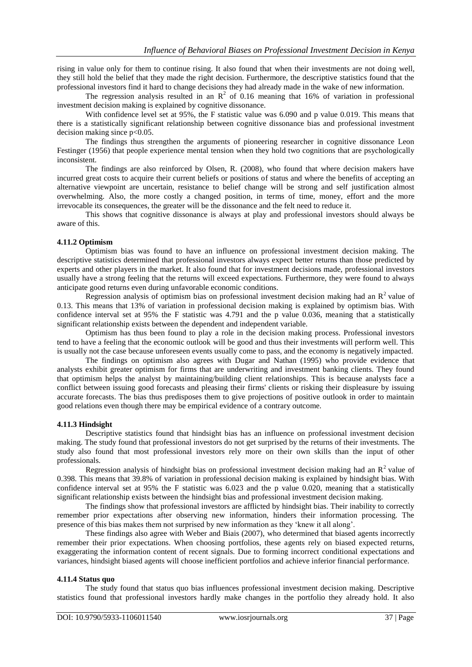rising in value only for them to continue rising. It also found that when their investments are not doing well, they still hold the belief that they made the right decision. Furthermore, the descriptive statistics found that the professional investors find it hard to change decisions they had already made in the wake of new information.

The regression analysis resulted in an  $\mathbb{R}^2$  of 0.16 meaning that 16% of variation in professional investment decision making is explained by cognitive dissonance.

With confidence level set at 95%, the F statistic value was 6.090 and p value 0.019. This means that there is a statistically significant relationship between cognitive dissonance bias and professional investment decision making since p<0.05.

The findings thus strengthen the arguments of pioneering researcher in cognitive dissonance Leon Festinger (1956) that people experience mental tension when they hold two cognitions that are psychologically inconsistent.

The findings are also reinforced by Olsen, R. (2008), who found that where decision makers have incurred great costs to acquire their current beliefs or positions of status and where the benefits of accepting an alternative viewpoint are uncertain, resistance to belief change will be strong and self justification almost overwhelming. Also, the more costly a changed position, in terms of time, money, effort and the more irrevocable its consequences, the greater will be the dissonance and the felt need to reduce it.

This shows that cognitive dissonance is always at play and professional investors should always be aware of this.

#### **4.11.2 Optimism**

Optimism bias was found to have an influence on professional investment decision making. The descriptive statistics determined that professional investors always expect better returns than those predicted by experts and other players in the market. It also found that for investment decisions made, professional investors usually have a strong feeling that the returns will exceed expectations. Furthermore, they were found to always anticipate good returns even during unfavorable economic conditions.

Regression analysis of optimism bias on professional investment decision making had an  $R<sup>2</sup>$  value of 0.13. This means that 13% of variation in professional decision making is explained by optimism bias. With confidence interval set at 95% the F statistic was 4.791 and the p value 0.036, meaning that a statistically significant relationship exists between the dependent and independent variable.

Optimism has thus been found to play a role in the decision making process. Professional investors tend to have a feeling that the economic outlook will be good and thus their investments will perform well. This is usually not the case because unforeseen events usually come to pass, and the economy is negatively impacted.

The findings on optimism also agrees with Dugar and Nathan (1995) who provide evidence that analysts exhibit greater optimism for firms that are underwriting and investment banking clients. They found that optimism helps the analyst by maintaining/building client relationships. This is because analysts face a conflict between issuing good forecasts and pleasing their firms' clients or risking their displeasure by issuing accurate forecasts. The bias thus predisposes them to give projections of positive outlook in order to maintain good relations even though there may be empirical evidence of a contrary outcome.

#### **4.11.3 Hindsight**

Descriptive statistics found that hindsight bias has an influence on professional investment decision making. The study found that professional investors do not get surprised by the returns of their investments. The study also found that most professional investors rely more on their own skills than the input of other professionals.

Regression analysis of hindsight bias on professional investment decision making had an  $R<sup>2</sup>$  value of 0.398. This means that 39.8% of variation in professional decision making is explained by hindsight bias. With confidence interval set at 95% the F statistic was 6.023 and the p value 0.020, meaning that a statistically significant relationship exists between the hindsight bias and professional investment decision making.

The findings show that professional investors are afflicted by hindsight bias. Their inability to correctly remember prior expectations after observing new information, hinders their information processing. The presence of this bias makes them not surprised by new information as they ‗knew it all along'.

These findings also agree with Weber and Biais (2007), who determined that biased agents incorrectly remember their prior expectations. When choosing portfolios, these agents rely on biased expected returns, exaggerating the information content of recent signals. Due to forming incorrect conditional expectations and variances, hindsight biased agents will choose inefficient portfolios and achieve inferior financial performance.

#### **4.11.4 Status quo**

The study found that status quo bias influences professional investment decision making. Descriptive statistics found that professional investors hardly make changes in the portfolio they already hold. It also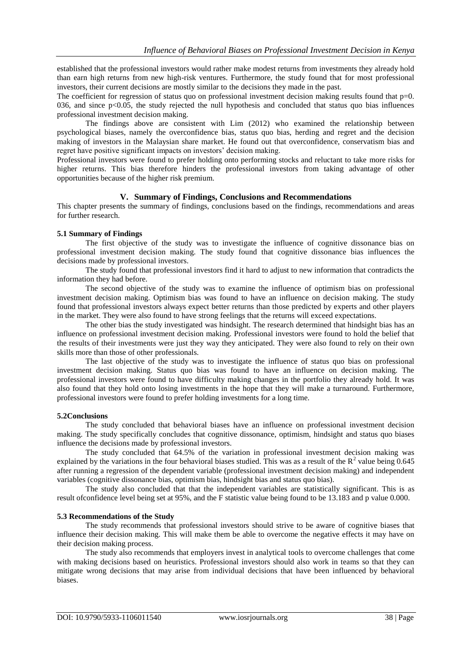established that the professional investors would rather make modest returns from investments they already hold than earn high returns from new high-risk ventures. Furthermore, the study found that for most professional investors, their current decisions are mostly similar to the decisions they made in the past.

The coefficient for regression of status quo on professional investment decision making results found that  $p=0$ . 036, and since p<0.05, the study rejected the null hypothesis and concluded that status quo bias influences professional investment decision making.

The findings above are consistent with Lim (2012) who examined the relationship between psychological biases, namely the overconfidence bias, status quo bias, herding and regret and the decision making of investors in the Malaysian share market. He found out that overconfidence, conservatism bias and regret have positive significant impacts on investors' decision making.

Professional investors were found to prefer holding onto performing stocks and reluctant to take more risks for higher returns. This bias therefore hinders the professional investors from taking advantage of other opportunities because of the higher risk premium.

## **V. Summary of Findings, Conclusions and Recommendations**

This chapter presents the summary of findings, conclusions based on the findings, recommendations and areas for further research.

## **5.1 Summary of Findings**

The first objective of the study was to investigate the influence of cognitive dissonance bias on professional investment decision making. The study found that cognitive dissonance bias influences the decisions made by professional investors.

The study found that professional investors find it hard to adjust to new information that contradicts the information they had before.

The second objective of the study was to examine the influence of optimism bias on professional investment decision making. Optimism bias was found to have an influence on decision making. The study found that professional investors always expect better returns than those predicted by experts and other players in the market. They were also found to have strong feelings that the returns will exceed expectations.

The other bias the study investigated was hindsight. The research determined that hindsight bias has an influence on professional investment decision making. Professional investors were found to hold the belief that the results of their investments were just they way they anticipated. They were also found to rely on their own skills more than those of other professionals.

The last objective of the study was to investigate the influence of status quo bias on professional investment decision making. Status quo bias was found to have an influence on decision making. The professional investors were found to have difficulty making changes in the portfolio they already hold. It was also found that they hold onto losing investments in the hope that they will make a turnaround. Furthermore, professional investors were found to prefer holding investments for a long time.

#### **5.2Conclusions**

The study concluded that behavioral biases have an influence on professional investment decision making. The study specifically concludes that cognitive dissonance, optimism, hindsight and status quo biases influence the decisions made by professional investors.

The study concluded that 64.5% of the variation in professional investment decision making was explained by the variations in the four behavioral biases studied. This was as a result of the  $R^2$  value being 0.645 after running a regression of the dependent variable (professional investment decision making) and independent variables (cognitive dissonance bias, optimism bias, hindsight bias and status quo bias).

The study also concluded that that the independent variables are statistically significant. This is as result ofconfidence level being set at 95%, and the F statistic value being found to be 13.183 and p value 0.000.

#### **5.3 Recommendations of the Study**

The study recommends that professional investors should strive to be aware of cognitive biases that influence their decision making. This will make them be able to overcome the negative effects it may have on their decision making process.

The study also recommends that employers invest in analytical tools to overcome challenges that come with making decisions based on heuristics. Professional investors should also work in teams so that they can mitigate wrong decisions that may arise from individual decisions that have been influenced by behavioral biases.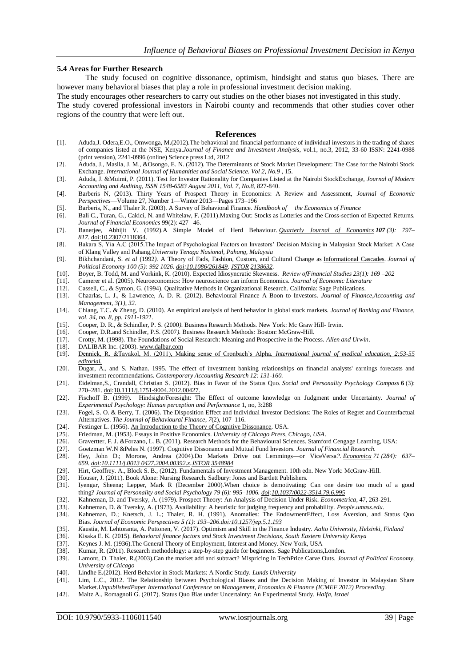#### **5.4 Areas for Further Research**

The study focused on cognitive dissonance, optimism, hindsight and status quo biases. There are however many behavioral biases that play a role in professional investment decision making.

The study encourages other researchers to carry out studies on the other biases not investigated in this study.

The study covered professional investors in Nairobi county and recommends that other studies cover other regions of the country that were left out.

#### **References**

- [1]. Aduda,J. Odera,E.O., Omwonga, M.(2012).The behavioral and financial performance of individual investors in the trading of shares of companies listed at the NSE, Kenya.*Journal of Finance and Investment Analysis*, vol.1, no.3, 2012, 33-60 ISSN: 2241-0988 (print version), 2241-0996 (online) Science press Ltd, 2012
- [2]. Aduda, J., Masila, J. M., &Osongo, E. N. (2012). The Determinants of Stock Market Development: The Case for the Nairobi Stock Exchange. *International Journal of Humanities and Social Science. Vol 2, No.9* , 15.
- [3]. Aduda, J. &Muimi, P. (2011). Test for Investor Rationality for Companies Listed at the Nairobi StockExchange, *Journal of Modern Accounting and Auditing*, *ISSN 1548-6583 August 2011, Vol. 7, No.8*, 827-840.
- [4]. Barberis N, (2013). Thirty Years of Prospect Theory in Economics: A Review and Assessment, *Journal of Economic Perspectives*—Volume 27, Number 1—Winter 2013—Pages 173–196
- [5]. Barberis, N., and Thaler R. (2003). A Survey of Behavioral Finance. *Handbook of the Economics of Finance*
- [6]. Bali C., Turan, G., Cakici, N. and Whitelaw, F. (2011)*.*Maxing Out: Stocks as Lotteries and the Cross-section of Expected Returns. *Journal of Financial Economics* 99(2): 427– 46.
- [7]. Banerjee, Abhijit V. (1992).A Simple Model of Herd Behaviour*. [Quarterly Journal of Economics](https://en.wikipedia.org/wiki/Quarterly_Journal_of_Economics) 107 (3): 797– 817.* [doi](https://en.wikipedia.org/wiki/Digital_object_identifier)[:10.2307/2118364.](https://dx.doi.org/10.2307%2F2118364)
- [8]. Bakara S, Yia A.C (2015.The Impact of Psychological Factors on Investors' Decision Making in Malaysian Stock Market: A Case of Klang Valley and Pahang,*University Tenaga Nasional, Pahang, Malaysia*
- [9]. Bikhchandani, S. *et al* (1992*).* A Theory of Fads, Fashion, Custom, and Cultural Change as [Informational Cascades](https://en.wikipedia.org/wiki/Informational_cascade)*. Journal of Political Economy 100 (5): 992 1026. [doi](https://en.wikipedia.org/wiki/Digital_object_identifier)[:10.1086/261849.](https://dx.doi.org/10.1086%2F261849) [JSTOR](https://en.wikipedia.org/wiki/JSTOR) [2138632.](https://www.jstor.org/stable/2138632)*
- [10]. Boyer, B. Todd, M. and Vorkink, K. (2010)*.* Expected Idiosyncratic Skewness. *Review ofFinancial Studies 23(1): 169 –202*
- [11]. Camerer et al. (2005). Neuroeconomics: How neuroscience can inform Economics. *Journal of Economic Literature*
- [12]. Cassell, C., & Symon, G. (1994). Qualitative Methods in Organizational Research*.* California: Sage Publications.
- [13]. Chaarlas, L. J., & Lawrence, A. D. R. (2012). Behavioural Finance A Boon to Investors. *Journal of Finance,Accounting and Management, 3(1), 32.*
- [14]. Chiang, T.C. & Zheng, D. (2010). An empirical analysis of herd behavior in global stock markets. *Journal of Banking and Finance, vol. 34, no. 8, pp. 1911-1921*.
- [15]. Cooper, D. R., & Schindler, P. S. (2000*).* Business Research Methods*.* New York: Mc Graw Hill- Irwin.
- [16]. Cooper, D.R.and Schindler, P.S. (2007*).* Business Research Methods*:* Boston: McGraw-Hill.
- [17]. Crotty, M. (1998). The Foundations of Social Research: Meaning and Prospective in the Process. *Allen and Urwin*.
- [18]. DALIBAR Inc. (2003)[. www.dalbar.com](http://www.dalbar.com/)
- [19]. Dennick, R. &Tavakol, M. (2011), Making sense of Cronbach's Alpha. *International journal of medical education, 2:53-55 editorial.*
- [20]. Dugar, A., and S. Nathan. 1995. The effect of investment banking relationships on financial analysts' earnings forecasts and investment recommendations. *Contemporary Accounting Research 12: 131-160.*
- [21]. Eidelman,S., Crandall, Christian S. (2012). Bias in Favor of the Status Quo. *Social and Personality Psychology Compass* **6** (3): 270–281. [doi](https://en.wikipedia.org/wiki/Digital_object_identifier)[:10.1111/j.1751-9004.2012.00427.](https://dx.doi.org/10.1111%2Fj.1751-9004.2012.00427.x)
- [22]. Fischoff B. (1999). Hindsight/Foresight: The Effect of outcome knowledge on Judgment under Uncertainty. *Journal of Experimental Psychology: Human perception and Performance* 1, no, 3:288
- [23]. Fogel, S. O. & Berry, T. (2006). The Disposition Effect and Individual Investor Decisions: The Roles of Regret and Counterfactual Alternatives. *The Journal of Behavioural Finance*, *7*(2), 107–116.
- [24]. Festinger L. (1956)[. An Introduction to the Theory of Cognitive Dissonance.](http://www.panarchy.org/festinger/dissonance.html) USA.
- [25]. Friedman, M. (1953). Essays in Positive Economics. *University of Chicago Press, Chicago, USA*.
- [26]. Gravertter, F. J. &Forzano, L. B. (2011). Research Methods for the Behavioural Sciences. Stamford Cengage Learning, USA:
- [27]. Goetzman W.N &Peles N. (1997). Cognitive Dissonance and Mutual Fund Investors. *Journal of Financial Research.*
- [28]. Hey, John D.; Morone, Andrea (2004).Do Markets Drive out Lemmings—or ViceVersa*?. [Economica](https://en.wikipedia.org/wiki/Economica) 71 (284): 637– 659. [doi](https://en.wikipedia.org/wiki/Digital_object_identifier)[:10.1111/j.0013 0427.2004.00392.x](https://dx.doi.org/10.1111%2Fj.0013-0427.2004.00392.x)[.JSTOR](https://en.wikipedia.org/wiki/JSTOR) [3548984](https://www.jstor.org/stable/3548984)*
- [29]. Hirt, Geoffrey. A., Block S. B., (2012). Fundamentals of Investment Management. 10th edn. New York: McGraw-Hill. [30]. Houser, J. (2011). Book Alone: Nursing Research. Sadbury: Jones and Bartlett Publishers.
- [30]. Houser, J. (2011). Book Alone: Nursing Research. Sadbury: Jones and Bartlett Publishers*.*
- [31]. Iyengar, Sheena; Lepper, Mark R (December 2000).When choice is demotivating: Can one desire too much of a good thing? *Journal of Personality and Social Psychology 79 (6): 995–1006. [doi](https://en.wikipedia.org/wiki/Digital_object_identifier)[:10.1037/0022-3514.79.6.995](https://dx.doi.org/10.1037%2F0022-3514.79.6.995)*
- [32]. Kahneman, D. and Tversky, A. (1979). Prospect Theory: An Analysis of Decision Under Risk. *Econometrica*, 47, 263-291. [33]. Kahneman, D. & Tversky, A. (1973). Availability: A heuristic for judging frequency and prob
- [33]. Kahneman, D. & Tversky, A. (1973). Availability: A heuristic for judging frequency and probability. *People.umass.edu*.
- [34]. Kahneman, D.; Knetsch, J. L.; Thaler, R. H. (1991). Anomalies: The EndowmentEffect, Loss Aversion, and Status Quo Bias*. Journal of Economic Perspectives 5 (1): 193–20[6.doi](https://en.wikipedia.org/wiki/Digital_object_identifier)[:10.1257/jep.5.1.193](https://dx.doi.org/10.1257%2Fjep.5.1.193)*
- [35]. *K*austia, M. Lehtoranta, A. Puttonen, V. (2017). Optimism and Skill in the Finance Industry*. Aalto University, Helsinki, Finland*
- [36]. Kisaka E. K. (2015)*. Behavioral finance factors and Stock Investment Decisions, South Eastern University Kenya*
- [37]. Keynes J. M. (1936).The General Theory of Employment, Interest and Money. New York, USA
- [38]. Kumar, R. (2011). Research methodology: a step-by-step guide for beginners. Sage Publications,London.<br>[39]. Lamont, O. Thaler, R. (2003).Can the market add and subtract? Mispricing in TechPrice Carve Outs. Jou
- [39]. Lamont, O. Thaler, R.(2003).Can the market add and subtract? Mispricing in TechPrice Carve Outs. *Journal of Political Economy, University of Chicago*
- [40]. Lindhe E.(2012). Herd Behavior in Stock Markets: A Nordic Study. *Lunds University*
- [41]. Lim, L.C., 2012. The Relationship between Psychological Biases and the Decision Making of Investor in Malaysian Share Market.*UnpublishedPaper International Conference on Management, Economics & Finance (ICMEF 2012) Proceeding.*
- [42]. Maltz A., Romagnoli G. (2017). Status Quo Bias under Uncertainty: An Experimental Study. *Haifa, Israel*